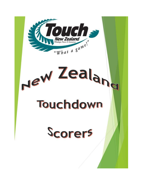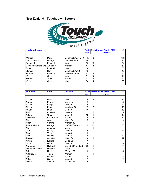### **New Zealand - Touchdown Scorers**



| <b>Leading Scorers</b>        |                |                   |            |    | <b>World Tests Europe South OIM</b> |                |  | #   |
|-------------------------------|----------------|-------------------|------------|----|-------------------------------------|----------------|--|-----|
|                               |                |                   | <b>Cup</b> |    |                                     | <b>Pacific</b> |  |     |
| Walters                       | Peter          | Men/Mix30/Mix/M40 | 113        | 8  |                                     |                |  | 121 |
| Albert-Jahnke                 | George         | Mix/Mix30/Men40   | 59         | 21 |                                     |                |  | 80  |
| Cavanagh                      | Michael        | Men               | 35         | 19 |                                     |                |  | 54  |
| Metcalfe (Rangitaawa) Amigene |                | Women             | 43         | 8  |                                     |                |  | 51  |
| Erueti                        | Ruamai         | Men               | 38         | 12 |                                     |                |  | 50  |
| Clemas                        | Barry          | Men/Mix30/M30     | 45         |    |                                     |                |  | 45  |
| Stewart                       | <b>Brendon</b> | Men/Men 30/35     | 41         | 3  |                                     |                |  | 44  |
| Wall                          | Chris          | Men               | 31         | 10 |                                     |                |  | 41  |
| Wihone                        | Janie          | Women             | 31         | 10 |                                     |                |  | 41  |
| Woods                         | Chris          | Mixed             | 34         | 4  |                                     |                |  | 38  |

| <b>Surname</b>  | <b>First</b> | <b>Division</b>  |                |              | <b>World Tests Europe South OIM</b> |                |  | #              |
|-----------------|--------------|------------------|----------------|--------------|-------------------------------------|----------------|--|----------------|
|                 |              |                  | <b>Cup</b>     |              |                                     | <b>Pacific</b> |  |                |
|                 |              |                  |                |              |                                     |                |  |                |
| Adams           | <b>Brian</b> | Men              | 18             | 4            |                                     |                |  | 22             |
| Adams           | Marama       | Mixed Snr        | 6              |              |                                     |                |  | 6              |
| Adams           | Philip       | <b>Men 35</b>    | 4              |              |                                     |                |  | 4              |
| Ah Loo          | Mark         | Men/Men 50       | 17             | 2            |                                     |                |  | 19             |
| Ah Loo          | Mike         | Men $40$         | 10             |              |                                     |                |  | 10             |
| Ahsin           | Chance       | Men 40           |                | 5            |                                     |                |  | 5              |
| Aitken          | Craig        | Men 40           | 12             | $\mathbf{1}$ |                                     |                |  | 13             |
| Aki (Peina)     | Kahureremoa  | Women            | 8              | 3            |                                     |                |  | 11             |
| Albert          | Joseph       | Mixed Snr        | 9              |              |                                     |                |  | 9              |
| Albert          | Serena       | Women 30         |                | 1            |                                     |                |  | 1              |
| Albert-Jahnke   | George       | Mix/Mix30/Men40  | 59             | 21           |                                     |                |  | 80             |
| Ale             | Johathan     | Mixed            |                | 1            |                                     |                |  | 1              |
| Allan           | Darby        | Men 40           | 6              |              |                                     |                |  | 6              |
| Allan           | Terry        | Men 40           | 1              |              |                                     |                |  | 1              |
| Allen           | Wayne        | <b>Men 35</b>    | 6              |              |                                     |                |  | 6              |
| Almond          | Annette      | Mixed Snr        | 16             | $\mathbf 1$  |                                     |                |  | 17             |
| Amiria          | Katrina      | <b>Mixed Snr</b> | 7              |              |                                     |                |  | 7              |
| Amosa           | Henry        | Men 30           | 9              |              |                                     |                |  | 9              |
| Anderson        | Richard      | Mixed30/Men40/50 | 22             | 1            |                                     |                |  | 23             |
| Anderson-Pitman | Racqual      | Mixed            |                | 1            |                                     |                |  | 1              |
| Ani             | <b>Nock</b>  | Women 27         | 5              |              |                                     |                |  | 5              |
| Antonievic      | Tay-a        | Women            |                | 1            |                                     |                |  | 1              |
| Apitti          | Dianne       | Women            | 8              |              |                                     |                |  | 8              |
| Ashe            | Steve        | Men 40           | $\overline{2}$ |              |                                     |                |  | $\overline{c}$ |
| Ashwell         | Allanah      | Women 27         | $\overline{2}$ |              |                                     |                |  | $\overline{2}$ |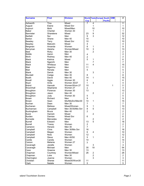| <b>Surname</b>   | <b>First</b>  | <b>Division</b>    |                         |                         | <b>World Tests Europe South</b> | <b>OIM</b> | #               |
|------------------|---------------|--------------------|-------------------------|-------------------------|---------------------------------|------------|-----------------|
|                  |               |                    | <b>Cup</b>              |                         | <b>Pacific</b>                  |            |                 |
| Ashworth         | Tina          | Mixed              |                         | $\overline{4}$          |                                 |            | $\overline{11}$ |
| August           | Elaine        | Mixed Snr          |                         | 1                       |                                 |            | 1               |
| Aupouri          | Mohi          | Mixed/Men          |                         | 10                      |                                 |            | 10              |
| <b>Baker</b>     | Chantal       | Women 30           |                         | 1                       |                                 |            | 1               |
| <b>Bannister</b> | Sharelene     | Mixed              | 23                      | 9                       |                                 |            | 32              |
| <b>Bartlett</b>  | Nui           | Men                | 9                       | 3                       |                                 |            | 12              |
| Barton           | Shane         | Men 40             | 10                      |                         |                                 |            | 10              |
| Beasley          | Terry         | Mixed Snr          | 10                      |                         |                                 |            | 10              |
| Beazley          | Malcolm       | Mixed              | 4                       |                         |                                 |            | 4               |
| Bergman          | Amanda        | Women              | 8                       | 1                       |                                 |            | 9               |
| Berryman         | Aleisha       | Women/Mixed        | 10                      | 3                       |                                 |            | 13              |
| <b>Best</b>      | Ricky         | Men 30             |                         | $\overline{2}$          |                                 |            | $\overline{2}$  |
| <b>Biddle</b>    | Aaron         | Men                | 4                       |                         |                                 |            | 4               |
| <b>Birch</b>     | Rodney        | Men 40             | $\overline{c}$          |                         |                                 |            | $\overline{c}$  |
| <b>Black</b>     | Katrina       | Mixed              | 5                       | 1                       |                                 |            | 6               |
| <b>Black</b>     |               | Men                |                         | $\overline{7}$          |                                 |            | 7               |
|                  | Ngarohi       |                    |                         | 4                       |                                 |            |                 |
| <b>Black</b>     | Whitiaua      | Men                | 11                      |                         |                                 |            | 15              |
| <b>Blair</b>     | Ngarimu       | Men                | 11                      |                         |                                 |            | 11              |
| <b>Blair</b>     | Renata        | Men                | 5                       |                         |                                 |            | 5               |
| <b>Blank</b>     | <b>Derick</b> | Men 30             |                         | 3                       |                                 |            | 3               |
| Blundell         | Cedge         | Men 35             | 8                       |                         |                                 |            | 8               |
| <b>Booth</b>     | David         | Men 40             | 14                      | 1                       |                                 |            | 15              |
| Boxall           | Aggie         | Women 30           | 6                       |                         |                                 |            | 6               |
| Boyd             | Anita         | <b>Women 30/27</b> | 1                       | 3                       |                                 |            | 4               |
| <b>Brand</b>     | Hannah        | Women/Wom 27       | 10                      |                         |                                 | 1          | 11              |
| Broomhall        | Stephanie     | Women 27           | 3                       |                         |                                 |            | 3               |
| <b>Broughton</b> | Florence      | Women 30           | 13                      |                         |                                 |            | 13              |
| <b>Broughton</b> | Jason         | Men 40             |                         | $\overline{2}$          |                                 |            | $\overline{2}$  |
| Broughton        | Judy          | Women 30           | 5                       |                         |                                 |            | 5               |
| <b>Brown</b>     | Richard       | Men                | 9                       |                         |                                 |            | 9               |
| <b>Brown</b>     | Sean          | Mix/MixSnr/Men30   | 14                      | 1                       |                                 |            | 15              |
| <b>Buchan</b>    | Dean          | Men 30             | $\overline{7}$          |                         |                                 |            | $\overline{7}$  |
| <b>Buchanan</b>  | Melissa       | Mixed/Women        | 9                       | 1                       |                                 |            | 10              |
| Buchannan        | Campbell      | Men 30/35/Mix Snr  | 8                       | 5                       |                                 |            | 13              |
| Buckingham       | <b>Bruce</b>  | Men 40             | $\overline{c}$          |                         |                                 |            | $\overline{2}$  |
| <b>Buick</b>     | Hamish        | Mixed              |                         | $\overline{c}$          |                                 |            | $\overline{c}$  |
| <b>Burden</b>    | Damian        | Mixed Snr          | 6                       |                         |                                 |            | 6               |
| <b>Burnside</b>  | Mercedes      | Mixed              |                         | $\overline{c}$          |                                 |            | $\overline{a}$  |
| <b>Burrell</b>   | Edward        | Men                | 13                      | 5                       |                                 |            | 18              |
| <b>Burrell</b>   | Tracey        | Women              | $\overline{\mathbf{c}}$ |                         |                                 |            | $\overline{a}$  |
| Cameron          | Henare        | Men 30             | 7                       |                         |                                 |            | $\overline{7}$  |
| Campbell         | Chris         | Men 30/Mix Snr     | 16                      |                         |                                 |            | 16              |
| Campbell         | Megan         | Women              | 6                       | 4                       |                                 |            | 10              |
| Campbell         | Nola          | Women              | 12                      |                         |                                 |            | 12              |
| Campbell         | <b>Steve</b>  | Men 40/50          | 5                       | 1                       |                                 |            | 6               |
| Cardie           | Candis        | Women              | 14                      |                         |                                 |            | 14              |
| Carson           | Melanie       | Women 27           | 3                       |                         |                                 |            | 3               |
| Cavanagh         | Janelle       | Women              |                         | 3                       |                                 |            | 3               |
| Cavanagh         | Michael       | Men                | 35                      | 19                      |                                 |            | 54              |
| Cave             | Graeme        | Men 30             | 13                      |                         |                                 |            | 13              |
| Chapman          | Courtney      | Women/Mixed        | 26                      | $\overline{\mathbf{c}}$ |                                 |            | 28              |
| Chapman          | Luke          | Men 30             |                         | $\overline{c}$          |                                 |            | $\overline{a}$  |
| Cherrington      | Joanne        | Women              |                         | 3                       |                                 |            | 3               |
| Christian        | Sheree        | Mixed30/Wom30      | 11                      |                         |                                 |            | 11              |
| Clark            | Natalie       | Women              | 5                       |                         |                                 |            | 5               |
|                  |               |                    |                         |                         |                                 |            |                 |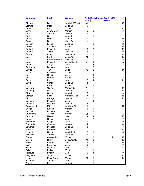| <b>Surname</b>              | <b>First</b>        | <b>Division</b>  |                |                         | <b>World Tests Europe South OIM</b> |                | #              |
|-----------------------------|---------------------|------------------|----------------|-------------------------|-------------------------------------|----------------|----------------|
|                             |                     |                  | <b>Cup</b>     |                         | <b>Pacific</b>                      |                |                |
| Clemas                      | <b>Barry</b>        | Men/Mix30/M30    | 45             |                         |                                     |                | 45             |
| Clemas                      | Dean                | Mixed Snr        | 5              |                         |                                     |                | 5              |
| Close                       | Emily               | Women            | 15             |                         |                                     |                | 15             |
| Coffin                      | Jenny-May           | Women            | 6              | $\overline{2}$          |                                     |                | 8              |
| Cole                        | Tasiano             | Men 40           | 1              |                         |                                     |                | 1              |
| Collier                     | Sean                | Men 40           |                | 1                       |                                     |                | 1              |
| Collins                     | Moni                | Men 30           | 14             |                         |                                     |                | 14             |
| Cooper                      | Dai                 | <b>Mixed Snr</b> | 9              |                         |                                     |                | 9              |
| Cooper                      | Erena               | Mixed Snr        |                | $\overline{c}$          |                                     |                | $\overline{2}$ |
| Cootes                      | Vanessa             | Women            | 17             |                         |                                     |                | 17             |
| Corbett                     | Micahel             | Men              | 9              | $\overline{2}$          |                                     |                | 11             |
| Corbett                     | Taine               | Mixed Snr        | 6              |                         |                                     |                | 6              |
| Coulter                     | Craig               | Men 35/50        | 3              | $\mathbf{1}$            |                                     |                | 4              |
| Cox                         | Fred                | Men30/35         | 12             |                         |                                     |                | 12             |
| Daly                        | Lupa-Georgette      | <b>Mixed Snr</b> | $\overline{7}$ | 1                       |                                     |                | 8              |
| Daly                        | Michael             | Mixed/Men 40     | 21             | 6                       |                                     |                | 27             |
| Dann                        | Sonya               | Mixed            |                | $\overline{c}$          |                                     |                | $\overline{2}$ |
| Darlington                  | Damian              | Men              |                | $\overline{2}$          |                                     |                | $\overline{2}$ |
| Davies                      | Tiwi                | Mixed            | 12             | $\overline{c}$          |                                     |                | 14             |
| Davis                       | Charlotte           | Women            |                | $\overline{7}$          |                                     |                | $\overline{7}$ |
| Davis                       | Heniti              | Mixed            |                | 4                       |                                     |                | 4              |
| Davis                       | Marama              | Women            |                | $\overline{c}$          |                                     |                | $\overline{2}$ |
| Davis                       | Paul                | Men              | 7              | 4                       |                                     |                | 11             |
| Davis                       | Simon               | <b>Mixed Snr</b> | 4              |                         |                                     |                | 4              |
| Day                         | Kate                | Women            |                | 1                       |                                     |                | 1              |
| Dayberg                     | Claire              | Women 30         | 14             |                         |                                     |                | 14             |
| Dayberg                     | Eric                | Men 30           | 11             |                         |                                     |                | 11             |
| <b>Dick</b>                 | Shane               | <b>Men 35</b>    | 3              |                         |                                     |                | 3              |
| Dickson                     | Faith               | Women/Mixed      | 10             | 6                       |                                     |                | 16             |
|                             |                     |                  | 21             |                         |                                     |                | 21             |
| Dixon<br>Dolneguy           | George<br>Michael   | Men 35<br>Mixed  |                | 4                       |                                     |                | 4              |
|                             |                     | Men 30           | $\overline{4}$ |                         |                                     |                | $\overline{4}$ |
| Donovan                     | Eugene<br>Eli       |                  | 12             |                         |                                     |                | 12             |
| Doornenbal                  |                     | Men/Men 35       |                |                         |                                     |                |                |
| Dougal                      | Elesha              | Women            | 5              | 1                       |                                     |                | 6              |
| <b>Driscoll</b><br>Drummond | Michelle<br>Jessica | Mixed<br>Women   |                | 1                       |                                     |                | 1<br>20        |
|                             |                     | Mixed            | 20             |                         |                                     |                | 20             |
| Drummond                    | Nicole              |                  | 16             | 4                       |                                     |                |                |
| Dunn                        | Henry               | Men              |                | $\overline{c}$          |                                     |                | $\overline{a}$ |
| Edmonds                     | Cooper              | Mixed            | 9              |                         |                                     |                | 9              |
| Edmonds                     | Graeme              | Men 40           | 4              |                         |                                     |                | 4              |
| Edwards                     | Michael             | Mixed Snr        | 3              |                         |                                     |                | 3              |
| Edwards                     | Paratene            | Men              | 12             |                         |                                     |                | 12             |
| Edwards                     | Shane               | Men 30/40        | 7              | $\mathbf 1$             |                                     |                | 8              |
| Edwards                     | Teresa              | Mixed Snr        | $\overline{7}$ |                         |                                     |                | $\overline{7}$ |
| Engler                      | Cassandra           | Women            |                | 8                       |                                     | $\overline{c}$ | 10             |
| Enosa                       | Ricky               | Men30/35/45      | 15             | $\overline{c}$          |                                     |                | 17             |
| Ensor                       | Lauren              | Mixed            | 18             | $\mathbf{1}$            |                                     |                | 19             |
| Epiha                       | Lawrence            | Mixed            | 9              |                         |                                     |                | 9              |
| Erueti                      | Ruamai              | Men              | 38             | 12                      |                                     |                | 50             |
| Evison                      | Maisie              | Women            |                | $\mathbf{1}$            |                                     |                | 1              |
| Faleauto                    | Lincoln             | Men              | 6              | 3                       |                                     |                | 9              |
| Ferguson                    | Julie               | Women            | 15             |                         |                                     |                | 15             |
| Fisher                      | Mary-Anne           | Women            | 10             | $\overline{\mathbf{c}}$ |                                     |                | 12             |
| Fitzgerald                  | Thomas              | Men              |                | 1                       |                                     |                | 1              |
| Flavell                     | Pat                 | Men 50           |                | 1                       |                                     |                | 1.             |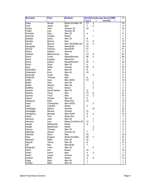| <b>Surname</b>      | <b>First</b>            | <b>Division</b>   |                 |                     | <b>World Tests Europe South OIM</b> |  | #               |
|---------------------|-------------------------|-------------------|-----------------|---------------------|-------------------------------------|--|-----------------|
|                     |                         |                   | <b>Cup</b>      |                     | <b>Pacific</b>                      |  |                 |
| Foley               | Shane                   | Mixed Snr/Men 40  | $\overline{13}$ | $\overline{3}$      |                                     |  | $\overline{16}$ |
| Ford                | Jason                   | Men               | $\overline{7}$  | $\overline{2}$      |                                     |  | 9               |
| Fortes              | <b>Vicki</b>            | Women 30          | 14              |                     |                                     |  | 14              |
| Foster              | Lisa                    | Women 30          |                 | 1                   |                                     |  | 1               |
| Franklyn            | Gary                    | Men 35            | $\overline{4}$  |                     |                                     |  | 4               |
| Gardiner            | Puawai                  | Mixed             |                 | 1                   |                                     |  | 1               |
| Geddes              | David                   | <b>Men 35</b>     | 8               |                     |                                     |  | 8               |
| Gentles             | Remus                   | Men               | 11              | $\,6$               |                                     |  | 17              |
| Girvan              | Marcus                  | Men 30/35/Mix Snr | 12              | 4                   |                                     |  | 16              |
| Glosgoski           | Wayne                   | Men35/40          | 19              |                     |                                     |  | 19              |
| Glozier             | Graham                  | Men35/40          | 21              |                     |                                     |  | 21              |
| Grace               | Destiny                 | Women             | 11              |                     |                                     |  | 11              |
| Graham              | Mitamumrua              | Men               | 13              | 9                   |                                     |  | 22              |
| Grant               | Conal                   | Mixed/Women       | 26              | $\overline{2}$      |                                     |  | 28              |
| Grant               | Eugene                  | Mixed Snr         | 4               |                     |                                     |  | 4               |
| Grant               | Keshia                  | Mixed/Women       | 33              | $\mathbf{1}$        |                                     |  | 34              |
| Grant               | Scott                   | Men 35            | 5               |                     |                                     |  | 5               |
| Gray                | Hollie                  | Women             | 20              | 3                   |                                     |  | 23              |
| Greenfield          | Des                     | Men 40            | 8               |                     |                                     |  | 8               |
| Greenland           | Errol                   | Men 40            | 10              |                     |                                     |  | 10              |
| Greensill           | Tame                    | Men               |                 | 3                   |                                     |  | 3               |
| Greensill           | Thomas                  | Men               | 6               |                     |                                     |  | 6               |
| Griffin             | Gary                    | Men 40/50         | 13              |                     |                                     |  | 13              |
| Griffin             | Gary                    | Men 50            |                 | $\boldsymbol{2}$    |                                     |  | $\overline{2}$  |
| Griffin             | Wayne                   | Men 50            |                 | $\mathbf 1$         |                                     |  | 1               |
| Griffiths           | Aroha                   | Mixed             |                 | 3                   |                                     |  | 3               |
| Gulliver            | David Garner            | Men 40            |                 |                     |                                     |  | 6               |
| Guthrie             | Tama                    | Men               | 6<br>13         | 8                   |                                     |  | 21              |
| Guthrie             | Tivoli                  | Men               | 11              | $\overline{2}$      |                                     |  | 13              |
| Haami               | Chanel                  | Men 35            | $\overline{c}$  |                     |                                     |  | $\overline{a}$  |
| Hahipene            | Kylie                   | Mixed Snr         |                 |                     |                                     |  | 13              |
| Hand                |                         | Men 45/50         | 13              | 3                   |                                     |  | 3               |
| Hapi                | Christopher<br>Tolartha | Mixed             | 5               |                     |                                     |  | 5               |
|                     | Marcia                  | Women             |                 | 12                  |                                     |  | 12              |
| Hardegger           | Monica                  | Women             | 31              |                     |                                     |  | 31              |
| Hardegger           | Michael                 | Men 40/45         | 8               | $\overline{c}$      |                                     |  | 10              |
| Hardgrave<br>Harris |                         |                   | 3               |                     |                                     |  | 3               |
|                     | Tina<br>Josh            | Mixed Snr         |                 |                     |                                     |  |                 |
| Harrison            |                         | Men 30            |                 | 1<br>1              |                                     |  | 1               |
| Harrison            | Lisa                    | Mixed Snr/Wom 30  | 12              |                     |                                     |  | 13              |
| Haugh               | Mackenzie               | Mixed             | 8               |                     |                                     |  | 8               |
| Haugh               | MacKenzie               | Mixed             |                 | 3<br>$\overline{2}$ |                                     |  | 3               |
| Haunui              | Thomas                  | Men 50            |                 |                     |                                     |  | $\overline{2}$  |
| Heberley            | Sharyn                  | Women 30          | $\overline{7}$  |                     |                                     |  | $\overline{7}$  |
| Hekstoa             | Dave                    | Men               | 18              |                     |                                     |  | 18              |
| Hepi                | Eugene                  | Mixed Snr/Men     | 20              | $\mathbf 1$         |                                     |  | 21              |
| Herewini            | Mack                    | Men 30            | 12              |                     |                                     |  | 12              |
| Hignett             | Jimmy                   | Men 35            | 8               |                     |                                     |  | 8               |
| Hill                | Ray                     | Men35/40          | $\overline{7}$  |                     |                                     |  | 7               |
| Hiratsuka           | Tomu                    | Men 30            |                 | $\overline{2}$      |                                     |  | $\overline{2}$  |
| Hiroti              | Kim                     | Mixed             | 10              |                     |                                     |  | 10              |
| Hoani               | David                   | Men               | 4               | 3                   |                                     |  | $\overline{7}$  |
| Hoani               | Leana                   | Women             | 13              |                     |                                     |  | 13              |
| Hodson              | Mark                    | Mixed             | $\overline{4}$  | 9                   |                                     |  | 13              |
| Hogg                | Gary                    | Men 40            | 1               |                     |                                     |  | 1               |
| Hohaia              | Mike                    | <b>Men 35</b>     | 1               |                     |                                     |  | 1.              |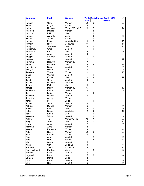| <b>Surname</b> | <b>First</b>   | <b>Division</b> |                         |                         | <b>World Tests Europe South</b> |                | <b>OIM</b> | #                       |
|----------------|----------------|-----------------|-------------------------|-------------------------|---------------------------------|----------------|------------|-------------------------|
|                |                |                 | <b>Cup</b>              |                         |                                 | <b>Pacific</b> |            |                         |
| Hohepa         | Carla          | Women           | $\overline{20}$         | $6\overline{6}$         |                                 |                |            | 26                      |
| Hohepa         | Chyna          | Women           | 8                       |                         |                                 |                |            | 8                       |
| Hokai          | Robyna         | Women/Wom 27    | 12                      | $\boldsymbol{2}$        |                                 |                |            | 14                      |
| Hopcroft       | Patricia       | Women           |                         | 4                       |                                 |                |            | 4                       |
| Hoskins        | Piki           | Mixed           |                         | $\overline{2}$          |                                 |                |            | $\overline{c}$          |
| Hotene         | Atawahi        | Mixed           |                         | 3                       |                                 |                |            | 3                       |
| Hotham         | Jazmin         | Women           |                         | 1                       |                                 |                | 1          | $\overline{c}$          |
| Hotham         | <b>Mark</b>    | Men 35/45/50    | 13                      | 3                       |                                 |                |            | 16                      |
| Hotham         | Nigel          | Men30/35        | 11                      |                         |                                 |                |            | 11                      |
| Hough          | Shannon        | Men             | 9                       | $\boldsymbol{2}$        |                                 |                |            | 11                      |
| Houkamau       | Greg           | Men 40          |                         | $\mathbf{1}$            |                                 |                |            | 1                       |
| Houltham       | Kimo           | Mixed           | 9                       |                         |                                 |                |            | 9                       |
| Hovarth        | John           | Men 40          | 4                       |                         |                                 |                |            | 4                       |
| Huggins        | Stephen        | Men 50          |                         | 1                       |                                 |                |            | 1                       |
| Hughes         | Stu            | <b>Men 35</b>   | 12                      |                         |                                 |                |            | 12                      |
| Huirama        | Raewyn         | Women 30        | 7                       |                         |                                 |                |            | $\overline{7}$          |
| Hunapo         | Phoenix        | Mixed           | 24                      | 3                       |                                 |                |            | 27                      |
| Hutchinson     | Brent          | Men 30          | $\overline{7}$          |                         |                                 |                |            | $\overline{7}$          |
| Huwyler        | Pehira         | Men             | $\overline{2}$          |                         |                                 |                |            | $\overline{2}$          |
| Ikenasio       | Tysha          | Women           | 15                      |                         |                                 |                |            | 15                      |
| Innes          | Wayne          | Men 40          |                         | 1                       |                                 |                |            | 1                       |
| Irihei         | Kopae          | Mixed           | 19                      | 10                      |                                 |                |            | 29                      |
| Jacob          | Chas           | Men 35          | 4                       |                         |                                 |                |            | 4                       |
| Jacobs         | Damian         | Mixed Snr       |                         | $\overline{\mathbf{4}}$ |                                 |                |            | 4                       |
| James          | Kylie          | Mixed           | $\mathbf{1}$            |                         |                                 |                |            | 1                       |
| James          | Pinky          | Women 30        | 17                      |                         |                                 |                |            | 17                      |
| Jenkinson      | Kevin          | Men 40          | 3                       |                         |                                 |                |            | 3                       |
| Joe            | Kylie          | Women           |                         | 4                       |                                 |                |            | 4                       |
| Johnson        | Robert         | Men 40          | 1                       |                         |                                 |                |            | 1                       |
| Johnston       | Abbey          | Women           |                         |                         |                                 |                | 1          | 1                       |
| Jones          | Ifor           | Mixed           |                         | 1                       |                                 |                |            | 1                       |
| Jonimi         | Joseph         | Men 30          | $\overline{\mathbf{c}}$ |                         |                                 |                |            | $\overline{\mathbf{c}}$ |
| Kahura         | Dianne         | Women           | 9                       |                         |                                 |                |            | 9                       |
| Kaiwai         | Lani           | Men             | 8                       | 1                       |                                 |                |            | 9                       |
| Kake           | <b>Bruce</b>   | Men/Mixed       | 8                       | $\overline{\mathbf{4}}$ |                                 |                |            | 12                      |
| Kake           | Eldon          | Men             |                         | 1                       |                                 |                |            | 1                       |
| Karauna        | Whitu          | Men 45          |                         | 3                       |                                 |                |            | 3                       |
| Katene         | Tui            | Women/Mixed     | 15                      | $\overline{7}$          |                                 |                |            | 22                      |
| Kelly          | John           | Men             | 4                       | $\overline{7}$          |                                 |                |            | 11                      |
| Keno           | Jason          | Men 40          | 7                       |                         |                                 |                |            | 7                       |
| Kerrigan       | Anita          | Women           | 3                       |                         |                                 |                |            | 3                       |
| Kersten        | Rebecca        | Women           | $\overline{\mathbf{4}}$ |                         |                                 |                |            | 4                       |
| Kidd           | Nicola         | Women           | 20                      | 8                       |                                 |                |            | 28                      |
| Kiira          | Rachel         | Women           | $\mathbf{1}$            |                         |                                 |                |            | $\mathbf{1}$            |
| King           | Joel           | Men 30          |                         | $\overline{\mathbf{c}}$ |                                 |                |            | $\overline{c}$          |
| Kingi          | Mere           | Women           |                         | 6                       |                                 |                |            | 6                       |
| Kini           | Shane          | Men 30          | 1                       |                         |                                 |                |            | 1                       |
| Knox           | Carl           | Mixed Snr       | 6                       |                         |                                 |                |            | 6                       |
| Komene         | Taima          | Women 30        | 10                      |                         |                                 |                |            | 10                      |
| Kora (McLean)  | <b>Mystrey</b> | Mixed           |                         | 3                       |                                 |                |            | 3                       |
| Kukutai        | Chris          | Men 35          | 1                       |                         |                                 |                |            | 1                       |
| Lagopati       | Luke           | Men             | 5                       | 3                       |                                 |                |            | 8                       |
| Lalatoa        | <b>Derrick</b> | Mixed           | 4                       |                         |                                 |                |            | 4                       |
| Lam            | Patrick        | Men 40          |                         |                         |                                 |                |            | 5                       |
| Lam            | Rob            | Men 30          | 5<br>9                  |                         |                                 |                |            | 9                       |
|                |                |                 |                         |                         |                                 |                |            |                         |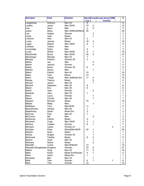| <b>Surname</b>                | <b>First</b>     | <b>Division</b>   |                |                     | <b>World Tests Europe South</b> | OIM          | #              |
|-------------------------------|------------------|-------------------|----------------|---------------------|---------------------------------|--------------|----------------|
|                               |                  |                   | <b>Cup</b>     |                     | <b>Pacific</b>                  |              |                |
| Langahetau                    | Anthony          | Men 35            | $\overline{8}$ |                     |                                 |              | 8              |
| Laufiso                       | Jamie            | Men 30/40         | 10             | $\overline{c}$      |                                 |              | 12             |
| Law                           | Sean             | Men               | 3              | $\overline{2}$      |                                 |              | 5              |
| Leach                         | Mahu             | Men 35/Mix30/Men4 | 25             |                     |                                 |              | 25             |
| Lee                           | Hayley           | Women             |                | 3                   |                                 |              | 3              |
| Leota                         | Josh             | Mixed             |                | 1                   |                                 |              | $\mathbf{1}$   |
| Linstrom                      | Alan             | Men 40            | 3              |                     |                                 |              | 3              |
| Locke                         | Jeremy           | Mixed             | 16             | 3                   |                                 |              | 19             |
| Logan                         | Robert           | Men 35/50         | 8              | 1                   |                                 |              | 9              |
| Loloselo                      | Tarkyn           | Men               |                | 1                   |                                 |              | 1              |
| Loversidge                    | Dylan            | Men               | 3              |                     |                                 |              | 3              |
| Lucas                         | Shane            | Men 40/50         | 9              | 1                   |                                 |              | 10             |
| MacDonald                     | <b>Bruce</b>     | Men 30/40         | 35             | $\overline{2}$      |                                 |              | 37             |
| MacGregor                     | Michael          | <b>Men 35</b>     | $\overline{7}$ |                     |                                 |              | 7              |
| Mackey                        | Patricia         | Women 30          | 3              |                     |                                 |              | 3              |
| Mafoe                         | Joe              | Men               |                | $\overline{c}$      |                                 |              | $\overline{2}$ |
| Mahar                         | Jessica          | Women             |                | $\overline{4}$      |                                 |              | 4              |
| Makai                         | Karen            | Women 30          | 9              |                     |                                 |              | 9              |
| Makiha                        | Denny            | Men               |                | 1                   |                                 |              | 1              |
| Makiri                        | <b>Patrick</b>   | Men 40            | 10             |                     |                                 |              | 10             |
| Mako                          | Tara             | Mixed             | 13             |                     |                                 |              | 13             |
| Mana                          | Tristan          | Men 30/Mixed Snr  | 11             | 4                   |                                 |              | 15             |
| Manga                         | Tiakina          | Mixed             |                | 5                   |                                 |              | 5              |
| Manuel                        | Jayton           | Men 40            |                | 1                   |                                 |              | 1              |
| Marriott                      | Stepehen         | Men 35            | 8              |                     |                                 |              | 8              |
| Marsh                         | Eric             | Men 30            | 8              |                     |                                 |              | 8              |
| Marsh                         | Jean             | Women             |                | $\overline{2}$      |                                 |              | $\overline{c}$ |
| Marshall                      | John             | <b>Men 35</b>     | 1              |                     |                                 |              | 1              |
| Marui                         | Laura            | Women             |                | 1                   |                                 |              | 1              |
| Mason                         | Cornell          | Men 40            |                | 1                   |                                 |              | 1              |
| <b>Masters</b>                | Richard          | Mixed             | 15             |                     |                                 |              | 15             |
| Mataio                        | Matty            | Men               |                | 1                   |                                 |              | $\mathbf{1}$   |
| <b>Matthews</b>               | Tony             | Men35/40          | 11             |                     |                                 |              | 11             |
| Mauridhooho                   | Henare           | Men 40            | 1              |                     |                                 |              | 1              |
| Mawhinney                     | Sarah            | <b>Mixed Snr</b>  | 3              |                     |                                 |              | 3              |
| McCone                        | Paul             | Men 40            | 1              |                     |                                 |              | 1              |
| McCurran                      | <b>Nik</b>       | Men               |                | 3                   |                                 |              | 3              |
| McGarvey                      | Patrick          | Mixed             | 4              |                     |                                 |              | 4              |
| Mcherron                      | Craig            | Men 35/40         | 3              | 1                   |                                 |              | 4              |
| McIllroy                      | Colleen          | Women             | 6              | 1                   |                                 |              | 7              |
| McIntyre                      | Letoia           | Women 27          |                |                     |                                 | 4            | 4              |
| McIntyre                      | Peter            | Mixed/Men30/40    | 24             | 1                   |                                 |              | 25             |
| McKain                        | Sean             | Mixed             |                | 1                   |                                 |              | 1              |
| McKay                         | Angela           | Women 30          |                | 1<br>$\overline{c}$ |                                 |              | $\mathbf{1}$   |
| McKenzie<br>Mcliver           | Tabitha<br>Scott | Mixed<br>Men 30   | 9              | 1                   |                                 |              | 11<br>1        |
| Meihana                       | Selina           | Mixed             |                | $\overline{c}$      |                                 |              | $\overline{c}$ |
| Meredith                      | Laurie           | Men30/Mix30       | 12             |                     |                                 |              | 12             |
| Metcalfe (Rangitaawa) Amigene |                  | Women             | 43             | 8                   |                                 |              | 51             |
| Mildon                        | Greg             | Men 40            | 11             | 5                   |                                 |              | 16             |
| <b>Miles</b>                  | Karen            | Mixed Snr/Women   | 4              | 1                   |                                 |              | 5              |
| Milne                         | Grant            | Mixed Snr         | 1              |                     |                                 |              | 1              |
| Moceiwai                      | Ben              | Men 30            |                | 1                   |                                 |              | 1              |
| Mohi                          | Tara             | Women             | 6              | 1                   |                                 | $\mathbf{1}$ | 8              |
| Mohi                          | Tina             | Women             | 10             |                     |                                 |              | 10             |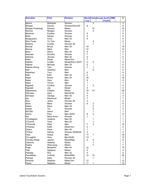| <b>Surname</b>   | <b>First</b> | <b>Division</b>  |                           |                  | <b>World Tests Europe South OIM</b> |  | #               |
|------------------|--------------|------------------|---------------------------|------------------|-------------------------------------|--|-----------------|
|                  |              |                  | <b>Cup</b>                |                  | <b>Pacific</b>                      |  |                 |
| Moore            | McKayler     | Women            |                           | $\overline{3}$   |                                     |  | 3               |
| Morgan           | Donna        | Women/Wom30      | 6                         |                  |                                     |  | 6               |
| Morgan-Puterangi | Danyon       | Mixed            |                           | 10               |                                     |  | 10              |
| Morrow           | Morgan       | Women            |                           | 5                |                                     |  | 5               |
| Mortimer         | Frankie      | Women            | 9                         |                  |                                     |  | 9               |
| Motu             | Renee        | Women            | 5                         |                  |                                     |  | 5               |
| Muagututi'a      | Chris        | <b>Men 35</b>    | $6\phantom{1}$            |                  |                                     |  | 6               |
| Muir-Tuuta       | Te Tuhi      | Mixed            |                           | $\boldsymbol{2}$ |                                     |  | $\overline{c}$  |
| Mullany          | Cushla       | Women 30         |                           | 1                |                                     |  | $\mathbf{1}$    |
| Murray           | <b>Bruce</b> | <b>Men 35</b>    | 19                        |                  |                                     |  | 19              |
| Murray           | <b>Mark</b>  | Men              | 12                        |                  |                                     |  | 12              |
| Mutu             | Steve        | Men 30           | 4                         |                  |                                     |  | 4               |
| Nacewa           | Dorothy      | Women            | $\overline{7}$            |                  |                                     |  | $\overline{7}$  |
| Nahona           | Jerome       | Men 30           | 5                         |                  |                                     |  | 5               |
| Nash             | Sarah        | <b>Mixed Snr</b> | $\overline{7}$            |                  |                                     |  | 7               |
| Nathan           | Lorelie      | Mixed/Wom 30/27  | $\overline{c}$            | 3                |                                     |  | 5               |
| Nathan           | Michael      | <b>Men 35</b>    | 5                         |                  |                                     |  | 5               |
| Nathan-Wong      | Tyla         | Women            | $\overline{7}$            | 1                |                                     |  | 8               |
| Nati             | Geoffrey     | Men              |                           | 5                |                                     |  | 5               |
| Needham          | Turo         | Men              | $\,6$                     |                  |                                     |  | 6               |
| Neki             | Eddi         | Men 30           | 4                         |                  |                                     |  | 4               |
| Nepe             | Erena        | Men 30           | 16                        |                  |                                     |  | 16              |
| Nepe             | Gary         | Men              | 9                         |                  |                                     |  | 9               |
| Nepe             | Trevor       | Men              | 1                         |                  |                                     |  | 1               |
| Ngawati          | Cynthia      | Women            | 1                         | 3                |                                     |  | 4               |
| Ngawati          | Joy          | Mixed            | 4                         |                  |                                     |  | 4               |
| Ngawharau        | Clayton      | Mixed            | 19                        | 10               |                                     |  | 29              |
| Nicholas         | Gary         | Men30/35         | 5                         |                  |                                     |  | 5               |
| Nicholas         | George       | Men 35           | 4                         |                  |                                     |  | 4               |
| Niu              | Raymond      | Mixed            | $\overline{7}$            |                  |                                     |  | 7               |
| Noa              | Jacky        | Women 30         | 3                         |                  |                                     |  | 3               |
| <b>Nock</b>      | Mere         | Women            | $6\phantom{1}$            | $\overline{c}$   |                                     |  | 8               |
| Nofoa            | Dave         | Men 30           |                           | $\boldsymbol{2}$ |                                     |  | $\overline{c}$  |
| Nootai           | Tia          | Women            |                           | 3                |                                     |  | 3               |
| No'Otai          | Aaron        | Men              |                           | 1                |                                     |  | 1               |
| <b>Norris</b>    | Paul         | Men 40/50        | 6                         | 3                |                                     |  | 9               |
| Nui              | Mary-Anne    | Women            | 1                         |                  |                                     |  | 1               |
| O'Callaghan      | Graeme       | Men 50           |                           | 1                |                                     |  | 1               |
| O'Carroll        | Terry        | Men 50           |                           | 1                |                                     |  | 1               |
| O'Donnell        | Riley        | Men              | 7                         | 3                |                                     |  | 10              |
| O'Hanlan         | Keith        | Mixed Snr        | $\overline{c}$            |                  |                                     |  | $\overline{2}$  |
| Ohara            | Dane         | Men 40           | 1                         |                  |                                     |  | 1               |
| O'Hara           | Satcey       | Women 30/Mix30   | $\ensuremath{\mathsf{3}}$ |                  |                                     |  | 3               |
| Ohia             | Arepa        | Men              | 17                        | $\mathbf{1}$     |                                     |  | 18              |
| O'Loughlin       | Gary         | Men35/40         | 13                        |                  |                                     |  | 13              |
| Ormsby-White     | Jaymin       | Mixed/Men        | 4                         | 4                |                                     |  | 8               |
| Osborne          | Atawhai      | Mixed            |                           | 1                |                                     |  | 1               |
| Paaka            | Wee-sang     | Mixed            |                           | $\overline{7}$   |                                     |  | 7               |
| Page             | Benjamin     | Men 40           | 15                        |                  |                                     |  | 15              |
| Paki             | Ngapera      | Mixed            | 4                         |                  |                                     |  | 4               |
| Palalagi         | Roy          | Men 30           | 4                         |                  |                                     |  | 4               |
| Pamatatau        | Connah       | Mixed/Men        | 10                        | 10               |                                     |  | 20              |
| Panapa           | Kelly        | Women 30         |                           | 1                |                                     |  | $\mathbf 1$     |
| Paniona          | Stephen      | Mixed Snr        | 12                        |                  |                                     |  | 12              |
| Paora            | Natasha      | Mixed            | 11                        | 1                |                                     |  | 12 <sub>2</sub> |
|                  |              |                  |                           |                  |                                     |  |                 |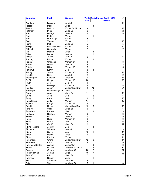| <b>Surname</b>    | <b>First</b>   | <b>Division</b>  |                |                | <b>World Tests Europe South</b> | OIM | $\overline{\#}$         |
|-------------------|----------------|------------------|----------------|----------------|---------------------------------|-----|-------------------------|
|                   |                |                  | <b>Cup</b>     |                | <b>Pacific</b>                  |     |                         |
| Parekura          | <b>Bromen</b>  | Men 35           | 11             |                |                                 |     | 11                      |
| Parsons           | Mase           | Mixed            |                | 4              |                                 |     | 4                       |
| Paterson          | <b>Belinda</b> | Women30/Mix30    | 18             |                |                                 |     | 18                      |
| Paterson          | Mike           | Mixed Snr        | 2              |                |                                 |     | $\overline{\mathbf{c}}$ |
| Paul              | George         | Men 40           | 5              |                |                                 |     | 5                       |
| Paul              | Mahina         | Women            |                | 1              |                                 |     | 1                       |
| Paul              | Mererangi      | Women            | 3              |                |                                 |     | 3                       |
| Paul              | Tamaku         | Women            | 13             |                |                                 |     | 13                      |
| Peina             | Mel            | <b>Mixed Snr</b> | 5              |                |                                 |     | 5                       |
| Phillips          | Pua Moe Awa    | Women            | 10             |                |                                 |     | 10                      |
| Pidduck           | Shay-Marie     | Women            | $\overline{7}$ |                |                                 |     | 7                       |
| Pile              | Moana          | Mixed            |                | 4              |                                 |     | 4                       |
| Pitiroi           | Damen          | Men 30           |                | $\overline{2}$ |                                 |     | $\overline{c}$          |
| Poihipi           | Justin         | Men 40           | 6              |                |                                 |     | 6                       |
| Pompey            | Lillian        | Women            |                | $\overline{c}$ |                                 |     | $\overline{\mathbf{c}}$ |
| Porima            | Charlene       | Women 27         | 3              |                |                                 |     | 3                       |
| Potaka            | Heston         | Men 35           | 3              |                |                                 |     | 3                       |
| Potatau           | <b>Niiwa</b>   | Women 30         | 5              |                |                                 |     | 5                       |
| Pourewa           | Kenny          | Men              | 3              | $\overline{4}$ |                                 |     | $\overline{7}$          |
| Pratley           | Sharyn         | Women 30         | 28             |                |                                 |     | 28                      |
| Prebble           | <b>Brian</b>   | <b>Men 30</b>    | $\overline{2}$ |                |                                 |     | $\overline{2}$          |
| Prendergast       | Fletcher       | Mixed Snr        | 14             |                |                                 |     | 14                      |
| Proffit           | Robyn          | Women 30         | 20             |                |                                 |     | 20                      |
| Pryor             | Joe            | Men 40           | 1              |                |                                 |     | $\mathbf{1}$            |
| Puata             | Bronwyn        | Women 30         | 8              |                |                                 |     | 8                       |
| Puddles           | Jason          | Mixed/Mixed Snr  | 9              | 12             |                                 |     | 21                      |
| Puketapu          | Deena-Ranginui | Mixed            |                | 1              |                                 |     | 1                       |
| Puna              | John           | <b>Mixed Snr</b> | 11             |                |                                 |     | 11                      |
| Quinn             | Josh           | Men              |                | 5              |                                 |     | 5                       |
| Rangi             | Cain           | Men              | 9              | 6              |                                 |     | 15                      |
| Rangitaawa        | Jodie          | Women            | 17             |                |                                 |     | 17                      |
| Rapana            | Rangi          | Women 27         | 2              |                |                                 |     | $\overline{2}$          |
| Ratahi            | Roger          | Mixed/Mixed Snr  | 13             | 6              |                                 |     | 19                      |
| Ratcliffe         | Vicki          | <b>Mixed Snr</b> | 5              |                |                                 |     | 5                       |
| Rauwhero          | Rahera         | Mixed            |                | 3              |                                 |     | 3                       |
| Redman            | Rachael        | Women            | 3              |                |                                 |     | 3                       |
| Reedy             | Mick           | Men 40           | 5              |                |                                 |     | 5                       |
| Rees              | Ruth           | Women 27         | 3              |                |                                 |     | 3                       |
| Reilly            | Garry          | Men              | 6              |                |                                 |     | 6                       |
| Rhind             | Geoff          | Mixed Snr        | 12             |                |                                 |     | 12                      |
| Rhind-Rogers      | Jeremy         | Men              |                | 4              |                                 |     | 4                       |
| Richards          | Wiremu         | Men 35           | 3              |                |                                 |     | 3                       |
| <b>Rigby</b>      | Simon          | Men              | 10             | 1              |                                 |     | 11                      |
| Rihari            | Donny          | Mixed            | 18             |                |                                 |     | 18                      |
| Ripia             | Pauline        | Women            | 11             |                |                                 |     | 11                      |
| Robertson         | Grant          | Mixed/Mixed Snr  | 12             | $\overline{c}$ |                                 |     | 14                      |
| Robinson          | Kane           | Men 30           | 9              |                |                                 |     | 9                       |
| Robinson-Bartlett | Ashton         | Mixed/Men        |                | 8              |                                 |     | 8                       |
| Robson            | Darran         | Men/Men30/35/40  | 27             | 4              |                                 |     | 31                      |
| Rogers            | George         | Men/Men30        | 20             | $\overline{2}$ |                                 |     | 22                      |
| Rogers-Rhind      | Jordan         | Mixed            | 16             | $\overline{7}$ |                                 |     | 23                      |
| Rohloff           | Clint          | <b>Mixed Snr</b> | 7              |                |                                 |     | 7                       |
| Rollinson         | Nathan         | Mixed            |                | 1              |                                 |     | $\mathbf{1}$            |
| Rowe              | Samantha       | Mixed Snr        | 3              |                |                                 |     | 3                       |
| Ryfle             | Wally          | Men/Men 30       | 5              | 1              |                                 |     | 6                       |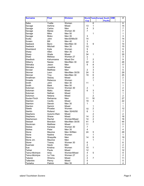| <b>Surname</b>  | <b>First</b> | <b>Division</b>  |                         |                  | <b>World Tests Europe South</b> | <b>OIM</b> | #              |
|-----------------|--------------|------------------|-------------------------|------------------|---------------------------------|------------|----------------|
|                 |              |                  | <b>Cup</b>              |                  | <b>Pacific</b>                  |            |                |
| Saba            | Yvette       | Women            |                         | 6                |                                 |            | 6              |
| Savage          | Awhina       | Mixed            | 13                      | $\mathbf 1$      |                                 |            | 14             |
| Savage          | Carlos       | Men              | 4                       | 3                |                                 |            | 7              |
| Savage          | Maree        | Women 30         | $\overline{7}$          |                  |                                 |            | 7              |
| Savage          | Mike         | <b>Men 50</b>    |                         | 1                |                                 |            | 1              |
| Savage          | Moko         | Men 35           | 3                       |                  |                                 |            | 3              |
| Scally          | John         | Men30/Mix30      | 14                      |                  |                                 |            | 14             |
| Screen          | Bill         | Men 40           | 3                       |                  |                                 |            | 3              |
| Seebeck         | Benn         | Men/Men 30       | 5                       | 9                |                                 |            | 14             |
| Seebeck         | Mitchell     | Men 35           | 15                      |                  |                                 |            | 15             |
| Shankland       | Kylie        | Women            | 9                       |                  |                                 |            | 9              |
| Sharp           | Allen        | <b>Men 35</b>    | $6\phantom{1}$          |                  |                                 |            | 6              |
| Sharp           | Wade         | Mixed            | 34                      | 1                |                                 |            | 35             |
| Shaw            | Melissa      | Women 27         | 3                       |                  |                                 |            | 3              |
| Shedlock        | Kahumoana    | <b>Mixed Snr</b> | $\overline{7}$          | $\boldsymbol{2}$ |                                 |            | 9              |
| Silberry        | Nazea        | Men/Men 30       | 22                      | 4                |                                 |            | 26             |
| Silimaka        | Jason        | Men              | 9                       | 8                |                                 |            | 17             |
| Silimaka        | Josalina     | Mixed            |                         | 3                |                                 |            | 3              |
| Sinclair        | Matthew      | Men              | $\overline{c}$          | 3                |                                 |            | 5              |
| Skinner         |              | Men/Men 30/35    | 24                      | 5                |                                 |            | 29             |
|                 | Leon         |                  |                         |                  |                                 |            |                |
| Skinner         | Troy         | Men/Men 30       | 19                      | 6                |                                 |            | 25             |
| Smallman        | Stacey       | Mixed            |                         | $\overline{c}$   |                                 |            | $\overline{2}$ |
| Smeele          | Rebecca      | Women            |                         | 1                |                                 |            | 1              |
| Smith           | John         | Men 30           | 11                      |                  |                                 |            | 11             |
| Smith           | Mark         | <b>Men 50</b>    |                         | 1                |                                 |            | 1              |
| Soloman         | Donna        | Women 30         | $\overline{\mathbf{c}}$ |                  |                                 |            | $\overline{c}$ |
| Soloman         | Matiu        | Mixed            | $6\phantom{1}$          | 3                |                                 |            | 9              |
| Soloman         | Nathan       | Mixed            |                         | 1                |                                 |            | 1              |
| Solomon         | Netana       | Mixed            |                         | $\overline{2}$   |                                 |            | $\overline{2}$ |
| Soutar-Finch    | Reihanna     | Men              | 11                      | 16               |                                 |            | 27             |
| Stainton        | Cecilly      | Mixed            | 19                      | 3                |                                 |            | 22             |
| Stainton        | Steven       | Men 30           | 1                       |                  |                                 |            | 1              |
| Stanton         | Sammi        | Mixed            |                         | 1                |                                 |            | 1              |
| <b>Steele</b>   | Phoebe       | Women            | 10                      | $\overline{c}$   |                                 |            | 12             |
| <b>Stehlin</b>  | Rolland      | Men 35/40/50     | 6                       | 1                |                                 |            | 7              |
| Stephens        | Autumn-Rain  | Mixed            |                         | $\overline{c}$   |                                 |            | $\overline{2}$ |
| Stephens        | Shane        | Mixed            | 14                      | $\overline{c}$   |                                 |            | 16             |
| Stephenson      | Rachel       | Women/Mixed      | 14                      | $\overline{2}$   |                                 |            | 16             |
| Stewart         | Brendon      | Men/Men 30/35    | 41                      | 3                |                                 |            | 44             |
| Stockman        | Matthew      | Mixed            | 11                      |                  |                                 |            | 11             |
| <b>Stokes</b>   | Kanewa       | Women 30         | 7                       |                  |                                 |            | $\overline{7}$ |
| <b>Stokes</b>   | Peter        | Men 35           | 4                       |                  |                                 |            | 4              |
| Stone           | Maurice      | Men 30/Men       | 24                      | 5                |                                 |            | 29             |
| Stone           | Nadine       | Women            |                         | 1                |                                 |            | 1              |
| Stone           | Shaquille    | Men              | 14                      | 5                |                                 |            | 19             |
| Stone Jnr.      | Maurice      | Men              |                         | 1                |                                 |            | 1              |
| Storer          | Tracey       | Women 30         | 6                       |                  |                                 |            | 6              |
| Suamasi         | Saulo        | Men              | $\overline{c}$          |                  |                                 |            | 2              |
| Sue             | Kristina     | Women            | 10                      | $\mathbf 1$      |                                 |            | 11             |
| Tahiwi          | Paula        | Mixed            | 12                      |                  |                                 |            | 12             |
| Tainui-McIntyre | Ariia        | Women/Mixed      | 4                       | $\mathbf 5$      |                                 |            | 9              |
| Tainui-Mcintyre | Le Toia      | Women 27         | 2                       |                  |                                 |            | $\overline{2}$ |
| Takerei         | Wiremu       | Mixed            | 4                       | $\overline{7}$   |                                 |            | 11             |
| Tallentire      | Penny        | Mixed            | $\mathbf 5$             |                  |                                 |            | 5              |
| Taniwha         | Patrick      | <b>Men 35</b>    | 4                       |                  |                                 |            | 4              |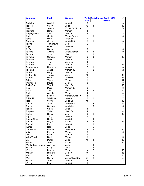| <b>Surname</b>           | <b>First</b>   | <b>Division</b> |                         |                         | <b>World Tests Europe South</b> | <b>OIM</b> | #              |
|--------------------------|----------------|-----------------|-------------------------|-------------------------|---------------------------------|------------|----------------|
|                          |                |                 | <b>Cup</b>              |                         | <b>Pacific</b>                  |            |                |
| Taniwha                  | Sinclair       | Men 35          | 3                       |                         |                                 |            | $\overline{3}$ |
| Tapsell                  | Stacy          | Mixed           | 12                      | $\overline{4}$          |                                 |            | 16             |
| Tarau                    | Joanne         | Women30/Mix30   | 37                      |                         |                                 |            | 37             |
| Taumata                  | Renee          | Women           | 4                       |                         |                                 |            | 4              |
| Taupage-Kise             | Aleni          | Men 35          | 3                       |                         |                                 |            | 3              |
| Taute                    | Codie          | Women/Mixed     |                         | 5                       |                                 |            | 5              |
| Taute                    | Hinei          | Mixed Snr       | $\overline{7}$          |                         |                                 |            | 7              |
| Tauwhare                 | Corey          | Men 35/50       | 5                       | 1                       |                                 |            | 6              |
| Tawhai                   | Tumanawa       | Men             | 5                       |                         |                                 |            | 5              |
| Taylor                   | Mark           | Men35/40        | $\overline{7}$          |                         |                                 |            | 7              |
| Te Amo                   | Stefan         | Men             | 6                       |                         |                                 |            | 6              |
| Te Hiko                  | Awhina         | Mixed/Women     | 5                       | 4                       |                                 |            | 9              |
| Te Huia                  | Jason          | Mixed           |                         | 1                       |                                 |            | 1              |
| Te Kahu                  | Somma          | Women           | 9                       | 3                       |                                 |            | 12             |
| Te Kahu                  | Willie         | Men 40          | 2                       |                         |                                 |            | $\overline{2}$ |
| Te Maro                  | Tina           | Mixed Snr       | 4                       |                         |                                 |            | 4              |
| Te Maro                  | Zac            | Men 30          | 14                      |                         |                                 |            | 14             |
| Te Moananui              | Raymond        | Men 40          | $\overline{7}$          | 1                       |                                 |            | 8              |
| Te Pania                 | Jamie          | Women 30        |                         | $\overline{2}$          |                                 |            | $\overline{2}$ |
| Te Tai                   | Barry          | Men 35          | $\overline{c}$          |                         |                                 |            | $\overline{2}$ |
| Te Tamaki                | Teresa         | Mixed           | 10                      |                         |                                 |            | 10             |
| Te Ture                  | Peter          | Men35/40        | 14                      |                         |                                 |            | 14             |
| Teika                    | Yvette         | Women           | 12                      |                         |                                 |            | 12             |
| Thompson                 | Beven          | <b>Men 35</b>   | 8                       |                         |                                 |            | 8              |
| Tiatia-Seath             | Valerie        | Mixed Snr       | 13                      |                         |                                 |            | 13             |
| Tims                     | Pixie          | Women 30        | 8                       |                         |                                 |            | 8              |
| Tiwha                    | Toia           | Mixed           | 16                      | 8                       |                                 |            | 24             |
| Toal                     | Angela         | Women           | 4                       |                         |                                 |            | 4              |
| Todd                     | Leonie         | Women30/Mix30   | 8                       |                         |                                 |            | 8              |
| Tohiariki                | Wi-Richard     | Men 40          | 5                       | $\overline{c}$          |                                 |            | 7              |
| Toki                     | Steve          | Mixed Snr       | 16                      |                         |                                 |            | 16             |
| Tomati                   | Jason          | Men/Men30       | 27                      | $\overline{\mathbf{c}}$ |                                 |            | 29             |
| Tomuri                   | Shanan         | Men/Mixed       |                         | 5                       |                                 |            | 5              |
|                          | Callin         | Mixed           | 3                       |                         |                                 |            | 3              |
| Tonge                    | Violet         | Mixed Snr       | 4                       |                         |                                 |            | 4              |
| Tuapawa<br>Tuatea        |                | Men             | 8                       | $\overline{c}$          |                                 |            | 10             |
|                          | Henry          |                 | 1                       |                         |                                 |            |                |
| Tupara                   | Tony<br>Daniel | Men 40          |                         |                         |                                 |            | 1<br>4         |
| Tupua-Siliva<br>Turnbull |                | Men 30<br>Women |                         | 4<br>$\sqrt{5}$         |                                 |            | 15             |
|                          | Dayna          |                 | 10                      |                         |                                 |            |                |
| Turnbull                 | Paul           | Men 50          |                         | 1                       |                                 |            | 1              |
| Turner                   | Nat            | Mixed           |                         | 5                       |                                 |            | 5              |
| Vahaakolo                | Edward         | Men 40/45       | 18                      | $\overline{2}$          |                                 |            | 20             |
| Vaile                    | Evelyn         | Women           | 6                       |                         |                                 |            | 6              |
| Vear                     | <b>Brad</b>    | Men 30          | 1                       |                         |                                 |            | $\mathbf{1}$   |
| Vette-Welsh              | <b>Botille</b> | Women           | 8                       |                         |                                 |            | 8              |
| Vis                      | Pieter         | Mixed           | 15                      | 4                       |                                 |            | 19             |
| Waaka                    | Jean           | Women           | 12                      |                         |                                 |            | 12             |
| Waaka-Iraia (Enosa)      | Ashlynn        | Mixed           |                         | 4                       |                                 |            | 4              |
| Walker                   | Cody           | Mixed           |                         | 3                       |                                 |            | 3              |
| Walker                   | Leanne         | Women           | 14                      | $\overline{2}$          |                                 |            | 16             |
| Walker                   | Richard        | Men 40          | 16                      |                         |                                 |            | 16             |
| Wall                     | Chris          | Men             | 31                      | 10                      |                                 |            | 41             |
| Wall                     | Steven         | Mixed/Mixed Snr | 27                      | $\overline{2}$          |                                 |            | 29             |
| Waller                   | John           | Men 40          | $\overline{\mathbf{c}}$ |                         |                                 |            | $\overline{2}$ |
| Walsh                    | Martin         | Men 30          | 1                       |                         |                                 |            | $\mathbf{1}$   |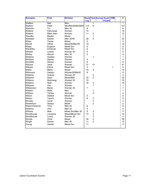| <b>Surname</b>  | <b>First</b> | <b>Division</b>   |                |                         | <b>World Tests Europe South</b> | <b>OIM</b> | #              |
|-----------------|--------------|-------------------|----------------|-------------------------|---------------------------------|------------|----------------|
|                 |              |                   | <b>Cup</b>     |                         | <b>Pacific</b>                  |            |                |
| Walters         | <b>Ned</b>   | Men               |                | $\overline{1}$          |                                 |            | $\mathbf{1}$   |
| Walters         | Peter        | Men/Mix30/Mix/M40 | 113            | 8                       |                                 |            | 121            |
| Wamhia          | Tui          | <b>Men 35</b>     | 8              |                         |                                 |            | 8              |
| Watene          | Kahurangi    | Women             | 14             |                         |                                 |            | 14             |
| Watene          | Maia Jean    | Women             | 11             | $\overline{c}$          |                                 |            | 13             |
| Waudby          | Bayley       | Mixed             |                | 1                       |                                 |            | $\mathbf{1}$   |
| Wawatai         | Deane        | Men 30/40         | 28             | $\overline{4}$          |                                 |            | 32             |
| Weka            | Tamar        | Mixed             | 4              |                         |                                 |            | 4              |
| Wendt           | Alfred       | Mixed30/Men35     | 10             |                         |                                 |            | 10             |
| Wepa            | Eugene       | Mixed Snr         | 6              |                         |                                 |            | 6              |
| Werahiko        | Emanuel      | Mixed Snr         | 6              |                         |                                 |            | $\,6$          |
| Whaitiri        | Leonie       | Women 30          | 5              |                         |                                 |            | 5              |
| Whiley          | Steven       | Men 30            | 3              |                         |                                 |            | 3              |
| Whitiora        | Awatea       | Women             |                | 1                       |                                 |            | 1              |
| Whitiora        | Stacey       | Women             | $\overline{4}$ |                         |                                 |            | 4              |
| Wickliffe       | Renee        | Women             | 6              |                         |                                 |            | 6              |
| Wihone          | Janie        | Women             | 31             | 10                      |                                 |            | 41             |
| Wikaire         | Erena        | Mixed Snr         | 3              |                         |                                 | 1          | 4              |
| Wilkie          | Maria        | Mixed             | 10             | $\overline{4}$          |                                 |            | 14             |
| Wilkinson       | Delwyn       | Women30/Mix30     | 9              |                         |                                 |            | 9              |
| Williams        | Andrea       | Women 30          |                | $\overline{c}$          |                                 |            | $\overline{2}$ |
| Williams        | Dean         | Mixed/Men         | 30             | $\overline{2}$          |                                 |            | 32             |
| Williams        | Moirirangi   | Women 30          | 10             |                         |                                 |            | 10             |
| Williams        | Niall        | Women             | 16             | 3                       |                                 |            | 19             |
| Williams        | Ora          | Women             |                | 1                       |                                 |            | 1              |
| Williamson      | Marie        | Women 30          | $\overline{7}$ |                         |                                 |            | $\overline{7}$ |
| Willison        | Raiki        | Men               |                | 1                       |                                 |            | 1              |
| Willison        | Tenika       | Women             |                | $\overline{4}$          |                                 |            | 4              |
| Wilson          | Debbie       | Mixed Snr         | 5              |                         |                                 |            | 5              |
| Wilson          | Tammi        | Women             | 8              | 3                       |                                 |            | 11             |
| Winiata         | Coral        | Women             |                | 3                       |                                 |            | 3              |
| Winterburn      | Stacey       | Mixed             |                | $\overline{2}$          |                                 |            | $\overline{a}$ |
| Wiperi-Karauria | Tony         | Men 40            | 9              |                         |                                 |            | 9              |
| Witehira        | Orlo         | <b>Men 35</b>     | $\overline{4}$ |                         |                                 |            | 4              |
| Withers         | Matt         | Mixed Snr/Men 30  | 8              | 3                       |                                 |            | 11             |
| Woodhouse       | Laveenia     | Mixed/Mixed Snr   | 12             | $\overline{2}$          |                                 |            | 14             |
| Woodhouse       | Lovey        | Women 30          |                | 3                       |                                 |            | 3              |
| Woods           | Chris        | Mixed             | 34             | $\overline{\mathbf{4}}$ |                                 |            | 38             |
| Wright          | Darren       | Men 40            | 11             | $\overline{2}$          |                                 |            | 13             |
| Young           | Gareth       | <b>Mixed Snr</b>  | 11             |                         |                                 |            | 11             |
|                 |              |                   |                |                         |                                 |            |                |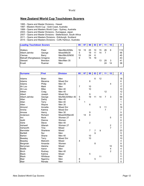#### World

#### **New Zealand World Cup Touchdown Scorers**

- 1995 Opens and Master Divisions Hawaii
- 1997 Masters World Cup Gold Coast, Australia
- 1999 Opens and Masters World Cups Sydney, Australia
- 2003 Opens and Master Divisions Kumagaya, Japan
- 2007 Opens and Master Divisions Stellenbosch, South Africa
- 2011 Opens and Masters Divisions Edinburgh, Scotland
- 2015 Opens and Masters Divisions Coffs Harbour, Australia

| <b>Leading Touchdown Scorers</b> |                |               | 95 | 97 | 99 | 03 |    |    | 15 | #   |
|----------------------------------|----------------|---------------|----|----|----|----|----|----|----|-----|
| <b>Walters</b>                   | Peter          | Men/Mix30/Mix | 16 | 15 | 25 | 10 | 15 |    | 6  | 113 |
| Albert-Jahnke                    | George         | Mixed/Mix30   | 5  |    | 19 | 11 | 14 |    |    | 56  |
| <b>Clemas</b>                    | Barry          | Men/Mix30/M30 | 15 |    | 24 | 6  |    |    |    | 45  |
| Metcalf (Rangitaawa) Amigene     |                | Women         | 9  |    | 15 | 19 |    |    |    | 43  |
| <b>Stewart</b>                   | <b>Brendon</b> | Men/Men 35    |    |    |    |    | 13 | 25 |    | 41  |
| Erueti                           | Ruamai         | Men           |    |    |    |    |    | 24 | 14 | 38  |

| <b>Surname</b>   | <b>First</b> | <b>Division</b>  | 95             | 97 | 99             | 03             | 07 | 11             | 15                      | #              |
|------------------|--------------|------------------|----------------|----|----------------|----------------|----|----------------|-------------------------|----------------|
|                  |              |                  |                |    |                |                |    |                |                         |                |
| Adams            | <b>Brian</b> | Men              |                |    |                | 6              | 12 |                |                         | 18             |
| Adams            | Marama       | <b>Mixed Snr</b> |                |    | 6              |                |    |                |                         | 6              |
| Adams            | Philip       | Men 35           |                |    |                |                |    |                | 4                       | $\overline{4}$ |
| Ah Loo           | Mark         | Men              | $\overline{7}$ |    | 10             |                |    |                |                         | 17             |
| Ah Loo           | Mike         | Men 40           |                |    | 10             |                |    |                |                         | 10             |
| Aitken           | Craig        | Men 40           |                |    |                |                |    | 12             |                         | 12             |
| Albert           | Joseph       | Mixed Snr        |                |    | 9              |                |    |                |                         | 9              |
| Albert-Jahnke    | George       | Mix/Mix30/Men 40 | 5              |    | 19             | 11             | 14 | $\overline{7}$ | 3                       | 59             |
| Allan            | Darby        | Men 40           | 6              |    |                |                |    |                |                         | 6              |
| Allan            | Terry        | Men 40           |                | 1  |                |                |    |                |                         | 1              |
| Allen            | Wayne        | Men 35           |                |    | $6\phantom{1}$ |                |    |                |                         | 6              |
| Almond           | Annette      | Mixed Snr        |                |    |                |                | 5  | 11             |                         | 16             |
| Amiria           | Katrina      | <b>Mixed Snr</b> |                |    |                |                |    | $\overline{7}$ |                         | $\overline{7}$ |
| Amosa            | Henry        | Men 30           |                |    | 9              |                |    |                |                         | 9              |
| Anderson         | Richard      | Mixed30/Men40    |                | 14 | 8              |                |    |                |                         | 22             |
| Ani              | <b>Nock</b>  | Women 27         |                |    |                |                |    |                | 5                       | 5              |
| Apitti           | Dianne       | Women            | 8              |    |                |                |    |                |                         | 8              |
| Ashe             | <b>Steve</b> | Men 40           |                |    | $\overline{c}$ |                |    |                |                         | $\overline{2}$ |
| Ashwell          | Allanah      | Women 27         |                |    |                |                |    |                | $\boldsymbol{2}$        | $\overline{2}$ |
| Ashworth         | Tina         | Mixed            |                |    |                |                |    |                | $\overline{7}$          | $\overline{7}$ |
| <b>Bannister</b> | Sharlene     | Mixed            |                |    | $\overline{7}$ | $\overline{7}$ | 9  |                |                         | 23             |
| <b>Bartlett</b>  | Nui          | Men              |                |    |                | 9              |    |                |                         | 9              |
| <b>Barton</b>    | Shane        | Men 40           |                |    | 10             |                |    |                |                         | 10             |
| Beasley          | Terry        | <b>Mixed Snr</b> |                |    | 10             |                |    |                |                         | 10             |
| Beazley          | Malcolm      | Mixed            | $\overline{4}$ |    |                |                |    |                |                         | 4              |
| Bergman          | Amanda       | Women            |                |    |                | 8              |    |                |                         | 8              |
| Berryman         | Aleisha      | Mixed            |                |    |                |                |    |                | 10                      | 10             |
| <b>Biddle</b>    | Aaron        | Men              |                |    |                |                |    |                | $\overline{\mathbf{4}}$ | 4              |
| <b>Birch</b>     | Rodney       | Men 40           |                |    |                |                |    |                | $\overline{2}$          | $\overline{2}$ |
| <b>Black</b>     | Katrina      | Mixed            |                |    | 5              |                |    |                |                         | 5              |
| <b>Black</b>     | Whitiaua     | Men              |                |    |                |                | 11 |                |                         | 11             |
| <b>Blair</b>     | Ngarimu      | Men              | 6              |    |                | 5              |    |                |                         | 11             |
| <b>Blair</b>     | Renata       | Men              | 5              |    |                |                |    |                |                         | 5              |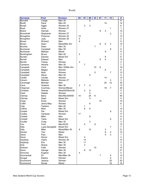| <b>Surname</b>   | <b>First</b>   | <b>Division</b>  | 95             | 97             | 99 | $\overline{03}$ | 07             | 11             | 15             | #              |
|------------------|----------------|------------------|----------------|----------------|----|-----------------|----------------|----------------|----------------|----------------|
| <b>Blundell</b>  | Cedge          | Men 35           |                |                | 8  |                 |                |                |                | $\overline{8}$ |
| <b>Booth</b>     | Dave           | Men 40           |                |                |    |                 |                | 14             |                | 14             |
| <b>Boxall</b>    | Aggie          | Women 30         |                | 3              | 3  |                 |                |                |                | 6              |
| Boyd             | Anita          | Women 27         |                |                |    |                 |                |                | 1              | 1              |
| <b>Brand</b>     | Hannah         | Women            |                |                |    |                 | 6              | 4              |                | 10             |
| <b>Broomhall</b> | Stephanie      | Women 27         |                |                |    |                 |                |                | 3              | 3              |
| Broughton        | Florence       | Women 30         | 13             |                |    |                 |                |                |                | 13             |
| Broughton        | Judy           | Women 30         | 5              |                |    |                 |                |                |                | 5              |
| <b>Brown</b>     | Richard        | Men              | 9              |                |    |                 |                |                |                | 9              |
| <b>Brown</b>     | Sean           | Mixed/Mix Snr    |                |                |    |                 | 6              | 6              | $\overline{2}$ | 14             |
| <b>Buchan</b>    | Dean           | Men 30           |                |                |    | $\overline{7}$  |                |                |                | $\overline{7}$ |
| Buchanan         | Campbell       | Men 35           |                |                |    |                 |                |                | 8              | 8              |
| <b>Buchanan</b>  | Melissa        | Mixed            |                |                |    |                 |                | 9              |                | 9              |
| Buckingham       | Bruce          | Men 40           | $\overline{c}$ |                |    |                 |                |                |                | $\overline{c}$ |
| <b>Burden</b>    | Damian         | <b>Mixed Snr</b> |                |                |    |                 |                | 6              |                | 6              |
| <b>Burrell</b>   | Edward         | Men              |                |                |    |                 | 9              | 4              |                | 13             |
| <b>Burrell</b>   | Tracey         | Women            | $\overline{c}$ |                |    |                 |                |                |                | $\overline{c}$ |
| Cameron          | Henare         | Men 30           |                | $\overline{7}$ |    |                 |                |                |                | 7              |
| Campbell         | Chris          | Men 30/Mix Snr   |                |                |    | 10              | $6\phantom{1}$ |                |                | 16             |
| Campbell         | Megan          | Women            |                |                |    |                 |                | 6              |                | 6              |
| Campbell         | Nola           | Women            |                |                |    | 5               |                |                | $\overline{7}$ | 12             |
| Campbell         | <b>Steve</b>   | Men 40           |                |                | 5  |                 |                |                |                | 5              |
| Cardie           | Candis         | Women            |                |                |    |                 |                | 14             |                | 14             |
| Carson           | Melanie        | Women 27         |                |                |    |                 |                |                | 3              | 3              |
| Cavanagh         | Michael        | Men              |                |                |    |                 |                | 20             | 15             | 35             |
| Cave             | Graeme         | Men 30           | $\overline{2}$ | $\overline{7}$ | 4  |                 |                |                |                | 13             |
| Chapman          | Courtney       | Women/Mixed      |                |                |    |                 |                | 19             | $\overline{7}$ | 26             |
| Christian        | Sheree         | Mixed30/Wom30    |                | $\overline{2}$ | 9  |                 |                |                |                | 11             |
| Clark            | <b>Natalie</b> | Women            |                |                | 5  |                 |                |                |                | 5              |
| Clemas           | Barry          | Men/Mix30/M30    | 15             |                | 24 | 6               |                |                |                | 45             |
| Clemas           | Dean           | Mixed Snr        |                |                | 5  |                 |                |                |                | 5              |
| Close            | Emily          | Women            |                |                |    |                 | 15             |                |                | 15             |
| Coffin           | Jenny-May      | Women            |                |                | 6  |                 |                |                |                | 6              |
| Cole             | Tasiano        | Men 40           |                | 1              |    |                 |                |                |                | 1              |
| Collins          | Moni           | Men 30           |                | 8              | 6  |                 |                |                |                | 14             |
| Cooper           | Dai            | Mixed Snr        |                |                |    |                 |                |                | 9              | 9              |
| Cootes           | Vanessa        | Women            | 17             |                |    |                 |                |                |                | 17             |
| Corbett          | Mike           | Men              |                |                | 9  |                 |                |                |                | 9              |
| Corbett          | Taine          | Mixed Snr        |                |                |    |                 |                |                | 6              | 6              |
| Coulter          | Craig          | <b>Men 35</b>    |                |                | 3  |                 |                |                |                | 3              |
| Cox              | Fred           | Men30/35         |                | 4              |    | 8               |                |                |                | 12             |
| Daly             | Lupa-Georgette | Mixed Snr        |                |                |    |                 |                |                | 7              | 7              |
| Daly             | Mike           | Mixed/Men 40     | 6              |                | 12 |                 |                | 3              |                | 21             |
| Davies           | Tiwi           | Mixed            |                |                |    |                 |                | 8              | 4              | 12             |
| Davis            | Paul           | Men              |                |                |    |                 |                | $\overline{4}$ | 3              | $\overline{7}$ |
| Davis            | Simon          | Mixed Snr        |                | 4              |    |                 |                |                |                | 4              |
| Dayberg          | Claire         | Women 30         |                | 14             |    |                 |                |                |                | 14             |
| Dayberg          | Eric           | Men 30           |                | 11             |    |                 |                |                |                | 11             |
| <b>Dick</b>      | Shane          | Men 35           |                | 3              |    |                 |                |                |                | 3              |
| Dickson          | Faith          | Women            |                |                |    | 10              |                |                |                | 10             |
| Dixon            | George         | Men 35           |                | 8              | 13 |                 |                |                |                | 21             |
| Donovan          | Eugene         | Men 30           | 4              |                |    |                 |                |                |                | 4              |
| Doornenbal       | Eli            | Men/Men 35       |                |                |    |                 | $\overline{7}$ |                | 5              | 12             |
| Dougal           | Elesha         | Women            |                |                |    |                 |                |                | 5              | 5              |
| Drummond         | Jessica        | Women            |                |                |    |                 |                |                | 20             | 20             |
| Drummond         | Nicole         | Mixed            |                |                |    |                 |                |                | 16             | 16             |
|                  |                |                  |                |                |    |                 |                |                |                |                |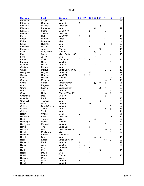| <b>Surname</b> | <b>First</b>  | <b>Division</b>  | 95               | 97 | 99               | 03             | 07             | 11             | 15                      |  |
|----------------|---------------|------------------|------------------|----|------------------|----------------|----------------|----------------|-------------------------|--|
| Edmonds        | Cooper        | Mixed            |                  |    |                  |                |                | 9              |                         |  |
| Edmonds        | Graeme        | Men 40           | $\overline{4}$   |    |                  |                |                |                |                         |  |
| Edwards        | Michael       | <b>Mixed Snr</b> |                  |    |                  |                | 3              |                |                         |  |
| Edwards        | Paratene      | Men              |                  |    |                  | 12             |                |                |                         |  |
| Edwards        | Shane         | Men 30/40        |                  |    | $\overline{c}$   |                |                | 5              |                         |  |
| Edwards        | Teresa        | <b>Mixed Snr</b> |                  |    |                  |                | $\overline{7}$ |                |                         |  |
| Enosa          | Ricky         | Men30/35         | $\overline{7}$   |    | 8                |                |                |                |                         |  |
| Ensor          | Lauren        | Mixed            |                  |    |                  |                |                | 18             |                         |  |
| Epiha          | Lawrence      | Mixed            |                  |    | $\boldsymbol{9}$ |                |                |                |                         |  |
| Erueti         | Ruamai        | Men              |                  |    |                  |                |                | 24             | 14                      |  |
| Faleauto       | Lincoln       | Men              |                  |    | $\,6$            |                |                |                |                         |  |
| Ferguson       | Julie         | Women            |                  |    |                  |                | 15             |                |                         |  |
| Fisher         | Mary-Anne     | Women            |                  |    |                  | 10             |                |                |                         |  |
| Foley          | Shane         | Mixed Snr/Men 40 |                  |    |                  |                | 9              |                | 4                       |  |
| Ford           | Jason         | Men              |                  |    |                  | $\overline{7}$ |                |                |                         |  |
| Fortes         | Vicki         | Women 30         | 3                | 5  | 6                |                |                |                |                         |  |
| Franklyn       | Gary          | Men 35           |                  |    |                  |                |                |                | $\overline{\mathbf{4}}$ |  |
| Geddes         | David         | <b>Men 35</b>    |                  |    |                  | 8              |                |                |                         |  |
| Gentles        | Remus         | Men              | 11               |    |                  |                |                |                |                         |  |
| Girvan         | <b>Marcus</b> | Mixed Snr/Men 35 |                  |    |                  |                |                | 9              | 3                       |  |
| Glosgoski      | Wayne         | Men35/40         | 6                |    | 13               |                |                |                |                         |  |
| Glozier        | Graham        | Men35/40         | 8                | 6  | $\overline{7}$   |                |                |                |                         |  |
| Grace          | Destiny       | Women            |                  |    |                  |                |                |                | 11                      |  |
| Graham         | Mitamura      | Men              |                  |    |                  |                |                | 10             | 3                       |  |
| Grant          | Conal         | Mixed/Women      |                  |    |                  | 12             | 11             | 3              |                         |  |
| Grant          | Eugene        | Mixed Snr        |                  |    |                  |                |                |                | $\overline{\mathbf{4}}$ |  |
| Grant          | Keshia        | Mixed/Women      |                  |    |                  |                | 26             | $\overline{7}$ |                         |  |
| Grant          | Scott         | <b>Men 35</b>    |                  |    |                  |                |                |                | 5                       |  |
| Gray           | Hollie        | Women/Wom 27     |                  |    |                  |                |                | 18             | $\overline{2}$          |  |
| Greenfield     | Des           | Men 40           |                  |    |                  |                |                | 8              |                         |  |
| Greenland      | Errol         | Men 40           | 10               |    |                  |                |                |                |                         |  |
| Greensill      | Thomas        | Men              |                  |    |                  |                | 6              |                |                         |  |
| Griffin        | Gary          | Men 40           |                  |    | 13               |                |                |                |                         |  |
| Gulliver       | David Garner  | Men 40           |                  |    |                  |                |                |                | 6                       |  |
| Guthrie        | Tama          | Men              |                  |    |                  |                |                | 8              | 5                       |  |
| Guthrie        | Tivoli        | Men              |                  |    |                  |                |                | 11             |                         |  |
| Haami          | Chanel        | Men 35           | $\overline{2}$   |    |                  |                |                |                |                         |  |
| Hahipene       | Kylie         | <b>Mixed Snr</b> |                  |    |                  |                |                |                | 13                      |  |
| Hapi           | Tolartha      | Mixed            |                  |    |                  | $\mathbf 5$    |                |                |                         |  |
| Hardegger      | Monica        | Women            |                  |    | 9                | 22             |                |                |                         |  |
| Hardgrave      | Michael       | Men 40           |                  |    |                  |                |                | 8              |                         |  |
| Harris         | Tina          | Mixed Snr        |                  |    | 3                |                |                |                |                         |  |
| Harrison       | Lisa          | Mixed Snr/Wom 27 |                  |    |                  |                |                | $10$           | $\overline{\mathbf{c}}$ |  |
| Haugh          | Mackenzie     | Mixed            |                  |    |                  |                |                |                | 8                       |  |
| Heberley       | Sharyn        | Women 30         | $\overline{7}$   |    |                  |                |                |                |                         |  |
| Hekstoa        | Dave          | Men              |                  |    |                  | 8              | 10             |                |                         |  |
| Hepi           | Eugene        | Mixed Snr/Men    |                  |    |                  |                |                | 13             | $\overline{7}$          |  |
| Herewini       | Mack          | Men 30           | $\boldsymbol{7}$ |    | 5                |                |                |                |                         |  |
| Hignett        | Jimmy         | Men 35           | $\mathbf 5$      | 3  |                  |                |                |                |                         |  |
| Hill           | Ray           | Men35/40         | $\overline{2}$   |    | $\overline{5}$   |                |                |                |                         |  |
| Hiroti         | Kim           | Mixed            |                  |    |                  |                | 10             |                |                         |  |
| Hoani          | David         | Men              |                  |    | $\overline{4}$   |                |                |                |                         |  |
| Hoani          | Leana         | Women            |                  |    |                  |                | 13             |                |                         |  |
| Hodson         | Mark          | Mixed            |                  |    |                  |                |                |                | $\overline{\mathbf{4}}$ |  |
| Hogg           | Gary          | Men 40           | 1                |    |                  |                |                |                |                         |  |
|                |               | Men 35           |                  |    |                  |                |                |                |                         |  |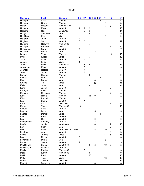| <b>Surname</b>     | <b>First</b> | <b>Division</b>    | 95 | 97             | 99               | 03                                    | 07              | 11 | 15                      | #               |
|--------------------|--------------|--------------------|----|----------------|------------------|---------------------------------------|-----------------|----|-------------------------|-----------------|
| Hohepa             | Carla        | Women              |    |                |                  |                                       | $\overline{20}$ |    |                         | $\overline{20}$ |
| Hohepa             | Chyna        | Women              |    |                |                  |                                       |                 | 8  |                         | 8               |
| Hokai              | Robyna       | Women/Wom 27       |    |                |                  |                                       |                 | 9  | 3                       | 12              |
| Hotham             | Mark         | <b>Men 35</b>      | 1  | 7              | 5                |                                       |                 |    |                         | 13              |
| Hotham             | Nigel        | Men30/35           |    | 8              | 3                |                                       |                 |    |                         | 11              |
| Hough              | Shannon      | Men                |    |                | 9                |                                       |                 |    |                         | 9               |
| Houltham           | Kimo         | Mixed              |    |                |                  |                                       |                 | 9  |                         | 9               |
| Hovarth            | John         | Men 40             | 4  |                |                  |                                       |                 |    |                         | $\overline{4}$  |
| Hughes             | Stu          | Men 35             | 6  | $\,6$          |                  |                                       |                 |    |                         | 12              |
| Huirama            | Raewyn       | Women 30           |    |                | $\overline{7}$   |                                       |                 |    |                         | $\overline{7}$  |
| Hunapo             | Phoenix      | Mixed              |    |                |                  |                                       |                 | 17 | $\overline{7}$          | 24              |
| Hutchinson         | <b>Brent</b> | Men 30             | 7  |                |                  |                                       |                 |    |                         | $\overline{7}$  |
| Huwyler            | Pehira       | Men                |    |                |                  | $\overline{c}$                        |                 |    |                         | $\overline{2}$  |
| Ikenasio           | Tysha        | Women              |    |                |                  |                                       |                 |    | 15                      | 15              |
| <b>Irihei</b>      | Kopae        | Mixed              | 8  |                | $\overline{7}$   | 4                                     |                 |    |                         | 19              |
| Jacob              | Chas         | <b>Men 35</b>      |    | 4              |                  |                                       |                 |    |                         | $\overline{4}$  |
| James              | Kylie        | Mixed              | 1  |                |                  |                                       |                 |    |                         | 1               |
|                    |              | Women 30           |    |                | $\boldsymbol{9}$ |                                       |                 |    |                         |                 |
| James<br>Jenkinson | Pinky        | Men 40             |    | 8<br>3         |                  |                                       |                 |    |                         | 17<br>3         |
|                    | Kevin        |                    |    | $\mathbf{1}$   |                  |                                       |                 |    |                         |                 |
| Johnson            | Robert       | Men 40             |    | $\overline{2}$ |                  |                                       |                 |    |                         | 1               |
| Jonimi             | Joseph       | Men 30             |    |                |                  |                                       |                 |    |                         | $\overline{2}$  |
| Kahura             | Dianne       | Women              |    |                | $\boldsymbol{9}$ |                                       |                 |    |                         | 9               |
| Kaiwai             | Lani         | Men                |    |                |                  |                                       | 8               |    |                         | 8               |
| Kake               | <b>Bruce</b> | Men                |    |                |                  | 8                                     |                 |    |                         | 8               |
| Katene             | Tui          | Mixed              |    |                |                  | 15                                    |                 |    |                         | 15              |
| Kelly              | John         | Men                |    |                | 4                |                                       |                 |    |                         | 4               |
| Keno               | Jason        | Men 40             |    |                |                  |                                       |                 |    | $\overline{7}$          | $\overline{7}$  |
| Kerrigan           | Anita        | Women              |    |                |                  |                                       | 3               |    |                         | 3               |
| Kersten            | Rebecca      | Women              |    |                |                  |                                       |                 |    | 4                       | 4               |
| Kidd               | Nicola       | Women              |    |                | 11               | $\boldsymbol{9}$                      |                 |    |                         | 20              |
| Kiira              | Rachel       | Women              | 1  |                |                  |                                       |                 |    |                         | 1               |
| Kini               | Shane        | Men 30             |    | 1              |                  |                                       |                 |    |                         | 1               |
| Knox               | Carl         | Mixed Snr          |    |                |                  |                                       |                 |    | 6                       | 6               |
| Komene             | Taima        | Women 30           | 10 |                |                  |                                       |                 |    |                         | 10              |
| Kukutai            | Chris        | Men 35             |    |                | 1                |                                       |                 |    |                         | 1               |
| Lagopati           | Luke         | Men                |    |                |                  | 5                                     |                 |    |                         | 5               |
| Lalatoa            | Derrick      | Mixed              |    |                |                  |                                       | 4               |    |                         | 4               |
| Lam                | Patrick      | Men 40             |    |                |                  |                                       |                 |    | 5                       | 5               |
| Lam                | Rob          | Men 30             |    |                |                  | 9                                     |                 |    |                         | 9               |
| Langahetau         | Anthony      | <b>Men 35</b>      |    |                |                  | 8                                     |                 |    |                         | 8               |
| Laufiso            | Jamie        | Men 30/40          |    |                |                  | 8                                     |                 |    | $\overline{\mathbf{c}}$ | 10              |
| Law                | Sean         | Men                |    |                |                  |                                       |                 |    | 3                       | 3               |
| Leach              | Mahu         | Men 35/Mix30/Men40 |    |                |                  | 8                                     | 7               | 10 |                         | 25              |
| Linstrom           | Alan         | Men 40             |    |                |                  |                                       |                 |    | 3                       | 3               |
| Locke              | Jeremy       | Mixed              |    |                |                  |                                       |                 | 11 | 5                       | 16              |
| Logan              | Robert       | Men 35             | 8  |                |                  |                                       |                 |    |                         | 8               |
| Loversidge         | Dylan        | Men                |    |                |                  |                                       |                 | 3  |                         | 3               |
| Lucas              | Shane        | Men 40             | 9  |                |                  |                                       |                 |    |                         | 9               |
| MacDonald          | <b>Bruce</b> | Men 30/40          |    |                | 6                | $\begin{array}{c} 8 \\ 7 \end{array}$ |                 | 19 | $\overline{c}$          | 35              |
| MacGregor          | Michael      | Men 35             |    |                |                  |                                       |                 |    |                         | $\overline{7}$  |
| Mackey             | Patricia     | Women 30           |    | $\mathsf 3$    |                  |                                       |                 |    |                         | 3               |
| Makai              | Karen        | Women 30           |    |                | 9                |                                       |                 |    |                         | 9               |
| Makiri             | Patrick      | Men 40             |    |                | 10               |                                       |                 |    |                         | 10              |
| Mako               | Tara         | Mixed              |    |                |                  |                                       |                 | 13 |                         | 13              |
| Mana               | Tristan      | Mixed Snr          |    |                |                  |                                       |                 | 11 |                         | 11              |
| Marriott           | Stepehen     | Men 35             |    |                |                  | 8                                     |                 |    |                         | 8               |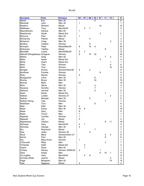| <b>Surname</b>               | <b>First</b>      | <b>Division</b>  | 95             | 97               | 99             | 03             | 07 | 11             | 15             | #                   |
|------------------------------|-------------------|------------------|----------------|------------------|----------------|----------------|----|----------------|----------------|---------------------|
| Marsh                        | Eric              | Men 30           |                |                  |                | 8              |    |                |                | 8                   |
| Marshall                     | John              | Men 35           | 1              |                  |                |                |    |                |                | 1                   |
| Masters                      | Richard           | Mixed            |                |                  |                |                | 15 |                |                | 15                  |
| <b>Matthews</b>              | Tony              | Men35/40         |                | 4                | 7              |                |    |                |                | 11                  |
| Mauridhooho                  | Henare            | Men 40           | 1              |                  |                |                |    |                |                | 1                   |
| Mawhinney                    | Sarah             | <b>Mixed Snr</b> |                |                  |                |                | 3  |                |                | 3                   |
| McCone                       | Paul              | Men 40           | 1              |                  |                |                |    |                |                | 1                   |
| McGarvey                     | Patrick           | Mixed            |                |                  | 4              |                |    |                |                | 4                   |
| Mcherron                     | Craig             | <b>Men 35</b>    |                |                  |                |                |    |                | 3              | 3                   |
| McIllroy                     | Colleen           | Women            |                |                  | 6              |                |    |                |                | 6                   |
| McIntyre                     | Peter             | Mixed/Men30      | 8              |                  | 12             | 4              |    |                |                | 24                  |
| McKenzie                     | Tabitha           | Mixed            |                |                  |                |                |    | 9              |                | 9                   |
| Meredith                     | Laurie            | Men30/Mix30      | 5              | $\overline{7}$   |                |                |    |                |                | 12                  |
| Metcalf (Rangitaawa) Amigene |                   | Women            | 9              |                  | 15             | 19             |    |                |                | 43                  |
| Mildon                       | Greg              | Men 40           |                |                  |                |                |    | $\overline{7}$ | 4              | 11                  |
| <b>Miles</b>                 | Karen             | Mixed Snr        |                |                  |                |                | 4  |                |                | 4                   |
| Milne                        | Grant             | <b>Mixed Snr</b> |                |                  |                |                |    |                | 1              | 1                   |
| Mohi                         | Tara              | Women            |                |                  |                |                |    |                | 6              | 6                   |
| Mohi                         | Tina              | Women            |                |                  |                |                |    |                | 10             | 10                  |
| Morgan                       | Donna             | Women/Wom30      | $\overline{4}$ |                  | $\overline{2}$ |                |    |                |                | 6                   |
| Mortimer                     | Frankie           | Women            |                |                  |                |                | 9  |                |                | 9                   |
| Motu                         | Renee             | Women            | 5              |                  |                |                |    |                |                | 5                   |
| Muagututi'a                  | Chris             | <b>Men 35</b>    |                |                  |                | 6              |    |                |                | 6                   |
| Murray                       | <b>Bruce</b>      | <b>Men 35</b>    |                |                  |                | 19             |    |                |                | 19                  |
| Murray                       | Mark              | Men              | 12             |                  |                |                |    |                |                | 12                  |
| Mutu                         | Steve             | Men 30           |                |                  |                | 4              |    |                |                | 4                   |
| Nacewa                       |                   | Women            |                |                  |                | $\overline{7}$ |    |                |                | $\overline{7}$      |
| Nahona                       | Dorothy<br>Jerome | Men 30           |                |                  |                | 5              |    |                |                | 5                   |
| Nash                         | Sarah             | Mixed Snr        |                |                  |                |                |    | $\overline{7}$ |                |                     |
| Nathan                       |                   |                  |                |                  |                |                |    |                |                | 7<br>$\overline{c}$ |
|                              | Lorelei           | Women 27         |                |                  | 5              |                |    |                | $\overline{2}$ |                     |
| Nathan                       | Michael           | Men 35<br>Women  |                |                  |                |                |    | $\overline{7}$ |                | 5<br>7              |
| Nathan-Wong                  | Tyla              | Men              |                |                  |                |                |    |                |                |                     |
| Needham                      | Turo              |                  |                |                  |                | 6              |    |                |                | 6                   |
| Neki                         | Eddi              | Men 30           | 4              |                  |                |                |    |                |                | 4                   |
| Nepe                         | Erena             | Men 30           | 10             | 6                |                |                |    |                |                | 16                  |
| Nepe                         | Gary              | Men              | 9              |                  |                |                |    |                |                | 9                   |
| Nepe                         | Trevor            | Men              | $\mathbf{1}$   |                  |                |                |    |                |                | 1                   |
| Ngawati                      | Cynthia           | Women            | 1              |                  |                |                |    |                |                | 1                   |
| Ngawati                      | Joy               | Mixed            | 4              |                  |                |                |    |                |                | 4                   |
| Ngawharau                    | Clayton           | Mixed            |                |                  |                |                |    | 8              | 11             | 19                  |
| Nicholas                     | Gary              | Men30/35         | 4              | 1                |                |                |    |                |                | 5                   |
| Nicholas                     | George            | <b>Men 35</b>    | 4              |                  |                |                |    |                |                | 4                   |
| Niu                          | Raymond           | Mixed            |                |                  |                | 7              |    |                |                | $\overline{7}$      |
| Noa                          | Jacky             | Women 30         |                |                  | 3              |                |    |                |                | 3                   |
| <b>Nock</b>                  | Mere              | Women/Wom 27     |                |                  |                |                |    | 4              | $\overline{2}$ | 6                   |
| Norris                       | Paul              | Men 40           |                |                  |                |                |    | 6              |                | 6                   |
| Nui                          | Mary-Anne         | Women            | $\mathbf 1$    |                  |                |                |    |                |                | 1                   |
| O'Donnell                    | Riley             | Men              |                |                  |                |                |    | $\overline{7}$ |                | $\overline{7}$      |
| O'Hanlan                     | Keith             | Mixed Snr        |                | $\boldsymbol{2}$ |                |                |    |                |                | $\overline{c}$      |
| Ohara                        | Dane              | Men 40           |                | $\mathbf{1}$     |                |                |    |                |                | 1                   |
| O'Hara                       | Satcey            | Women 30/Mix30   | $\overline{2}$ |                  |                |                | 1  |                |                | 3                   |
| Ohia                         | Arepa             | Men              |                |                  |                |                | 6  | 10             | 1              | 17                  |
| O'Loughlin                   | Gary              | Men35/40         |                | 4                | 9              |                |    |                |                | 13                  |
| Ormsby-White                 | Jaymin            | Mixed            |                |                  |                |                |    |                | 4              | $\overline{4}$      |
| Page                         | Benjamin          | Men 40           |                |                  |                |                |    |                | 15             | 15                  |
| Paki                         | Ngapera           | Mixed            | 4              |                  |                |                |    |                |                | 4                   |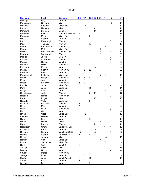| <b>Surname</b>  | <b>First</b>   | <b>Division</b> | 95             | 97             | 99               | 03 | 07             | 11 | 15                      | #                |
|-----------------|----------------|-----------------|----------------|----------------|------------------|----|----------------|----|-------------------------|------------------|
| Palalagi        | Roy            | $Men$ 30        |                |                |                  | 4  |                |    |                         | $\overline{4}$   |
| Pamatatau       | Connah         | Mixed           |                |                |                  |    |                |    | 10                      | 10               |
| Paniona         | Stephen        | Mixed Snr       |                | 12             |                  |    |                |    |                         | 12               |
| Paora           | Natasha        | Mixed           |                |                |                  | 11 |                |    |                         | 11               |
| Parekura        | <b>Bromen</b>  | <b>Men 35</b>   |                |                |                  | 11 |                |    |                         | 11               |
| Paterson        | Belinda        | Women30/Mix30   | 9              | $\overline{c}$ | $\overline{7}$   |    |                |    |                         | 18               |
| Paterson        | Mike           | Mixed Snr       |                |                | $\overline{2}$   |    |                |    |                         | $\overline{c}$   |
| Paul            | George         | Men 40          | 3              | $\overline{2}$ |                  |    |                |    |                         | 5                |
| Paul            | Mererangi      | Women           |                |                |                  |    |                |    | 3                       | 3                |
| Paul            | Tamaku         | Women           |                |                | 13               |    |                |    |                         | 13               |
| Peina           | Kahureremoa    | Women           |                |                |                  |    |                | 8  |                         | 8                |
| Peina           | Mel            | Mixed Snr       |                |                |                  |    | 5              |    |                         | 5                |
| Phillips        | Pua Moe Awa    | Women/Wom 27    |                |                |                  |    | 6              |    | 4                       | 10               |
| Pidduck         | Shay-Marie     | Women           |                |                |                  |    | $\overline{7}$ |    |                         | $\overline{7}$   |
| Poihipi         | Justin         | Men 40          |                |                |                  |    |                |    | 6                       | 6                |
| Porima          | Charlene       | Women 27        |                |                |                  |    |                |    | 3                       | 3                |
| Potaka          | Heston         | <b>Men 35</b>   |                |                |                  |    |                |    | 3                       | 3                |
| Potatau         | <b>Niiwa</b>   | Women 30        | 5              |                |                  |    |                |    |                         | 5                |
| Pourewa         | Kenny          | Men             |                |                |                  | 3  |                |    |                         | 3                |
| Pratley         | Sharyn         | Women 30        |                | 8              | 20               |    |                |    |                         | 28               |
| Prebble         | <b>Brian</b>   | Men 30          |                |                | $\overline{c}$   |    |                |    |                         | $\overline{c}$   |
| Prendergast     | Fletcher       | Mixed Snr       |                |                |                  |    | 5              | 9  |                         | 14               |
| Proffit         | Robyn          | Women 30        | 6              | 4              | 10               |    |                |    |                         | 20               |
| Pryor           | Joe            | Men 40          |                | 1              |                  |    |                |    |                         | $\mathbf{1}$     |
| Puata           | Bronwyn        | Women 30        | 5              | 3              |                  |    |                |    |                         | 8                |
| Puddle          | Jason          | Mixed Snr       |                |                |                  |    |                |    | 9                       | 9                |
| Puna            | <b>John</b>    | Mixed Snr       |                |                | 11               |    |                |    |                         | 11               |
| Rangi           | Cain           | Men             |                |                |                  |    |                | 9  |                         | 9                |
| Rangitaawa      | Jodie          | Women           |                |                | 6                | 11 |                |    |                         | 17               |
| Rapana          | Rangi          | Women 27        |                |                |                  |    |                |    | $\overline{c}$          | $\overline{c}$   |
| Ratahi          | Roger          | Mixed           |                |                |                  | 13 |                |    |                         | 13               |
| Ratcliffe       | Vicki          | Mixed Snr       |                |                | 5                |    |                |    |                         | $\mathbf 5$      |
| Redman          | Rachael        | Women           | 3              |                |                  |    |                |    |                         | 3                |
| Reedy           | Mick           | Men 40          | 5              |                |                  |    |                |    |                         | 5                |
| Rees            | <b>Ruth</b>    | Women 27        |                |                |                  |    |                |    |                         | 3                |
| Reilly          |                | Men             |                |                |                  |    |                |    | 3<br>6                  | 6                |
| Rhind           | Garry<br>Geoff | Mixed Snr       |                | 12             |                  |    |                |    |                         | 12               |
| <b>Richards</b> | Wiremu         | Men 35          |                |                |                  |    |                |    | 3                       | 3                |
|                 | Simon          | Men             |                |                | 10               |    |                |    |                         | 10               |
| Rigby<br>Rihari |                | Mixed           |                |                |                  |    |                |    |                         | 18               |
| Ripia           | Donny          |                 |                |                |                  |    | 18             |    |                         |                  |
|                 | Pauline        | Women           |                |                |                  | 11 |                |    |                         | 11               |
| Robertson       | Grant          | Mixed/Mix Snr   |                |                |                  |    |                | 11 | 1                       | 12               |
| Robinson        | Kane           | Men 30          |                |                |                  | 9  |                |    |                         | 9                |
| Robson          | Darran         | Men/Men30/35    | 13             |                |                  | 8  |                |    | 6                       | 27               |
| Rogers          | George         | Men/Men30       | $\overline{7}$ |                | 8                | 5  |                |    |                         | 20               |
| Rogers          | Jordon         | Mixed           |                |                |                  |    |                | 16 |                         | 16               |
| Rohloff         | Clint          | Mixed Snr       |                |                |                  |    | $\overline{7}$ |    |                         | 7                |
| Rowe            | Samantha       | Mixed Snr       |                |                |                  |    |                | 3  |                         | 3                |
| Ryfle           | Wally          | Men 30          | 5              |                |                  |    |                |    |                         | $\mathbf 5$      |
| Savage          | Awhina         | Mixed           |                |                |                  |    |                | 13 |                         | 13               |
| Savage          | Carlos         | Men             |                |                |                  |    |                |    | $\overline{\mathbf{4}}$ | 4                |
| Savage          | Maree          | Women 30        |                |                | $\boldsymbol{7}$ |    |                |    |                         | $\boldsymbol{7}$ |
| Savage          | Moko           | Men 35          |                | 3              |                  |    |                |    |                         | 3                |
| Scally          | John           | Men30/Mix30     | 3              |                | 11               |    |                |    |                         | 14               |
| Screen          | Bill           | Men 40          | 3              |                |                  |    |                |    |                         | 3                |
| Seebeck         | Benn           | Men             |                |                | $\mathbf 5$      |    |                |    |                         | 5                |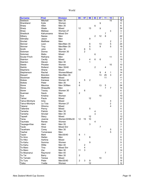| <b>First</b><br>95<br><b>Surname</b><br><b>Division</b><br>97<br>99<br>03<br>07<br>11<br>15 | #               |
|---------------------------------------------------------------------------------------------|-----------------|
| Mitchell<br>Seebeck<br>Men 35<br>15                                                         | 15              |
| 9<br>Shankland<br>Kylie<br>Women                                                            | 9               |
| Sharp<br>6<br>Allen<br>Men 35                                                               | 6               |
| 9<br>Sharp<br>12<br>13<br>Wade<br>Mixed                                                     | 34              |
| Shaw<br>3<br>Melissa<br>Women 27                                                            | 3               |
| Shedlock<br>Kahumoana<br><b>Mixed Snr</b><br>7                                              | $\overline{7}$  |
| 8<br>$\overline{2}$<br>Silbery<br>Men<br>12<br>Nazea                                        | 22              |
| 9<br>Silimaka<br>Men<br>Jason                                                               | 9               |
| Sinclair<br>$\overline{c}$<br>Matthew<br>Men                                                | $\overline{2}$  |
| Skinner<br>5<br>Men/Men 35<br>6<br>13<br>Leon                                               | 24              |
| 5<br><b>Skinner</b><br>5<br>9<br>Troy<br>Men/Men 35                                         | 19              |
| 5<br>Smith<br>John<br>Men 30<br>6                                                           | 11              |
| $\overline{2}$<br>Soloman<br>Women 30<br>Donna                                              | $\overline{2}$  |
| 6<br>Soloman<br>Matiu<br>Mixed                                                              | 6               |
| Soutar-Finch<br>Reihana<br>11<br>Men                                                        | 11              |
| Stainton<br>3<br>6<br>6<br>Mixed<br>4<br>Cecilly                                            | 19              |
| Stainton<br>1<br>Steven<br>Men 30                                                           | 1               |
| 10<br><b>Steele</b><br>Phoebe<br>Women                                                      | 10              |
| $\overline{2}$<br>Stehlin<br>Rolland<br>Men 35/40<br>4                                      | 6               |
| 14<br><b>Stephens</b><br>Shane<br>Mixed                                                     | 14              |
| Stephenson<br>Rachel<br>Women/Mixed<br>9<br>4<br>1                                          | 14              |
| Stewart<br>13<br>25<br>3<br>Men/Men 35<br><b>Brendon</b>                                    | 41              |
| Stockman<br>11<br>Matthew<br>Mixed                                                          | 11              |
| 5<br><b>Stokes</b><br>$\overline{c}$<br>Women 30<br>Kanewa                                  | $\overline{7}$  |
| <b>Stokes</b><br>Peter<br><b>Men 35</b><br>4                                                | 4               |
| 6<br>Stone<br>Maurice<br>Men 30/Men<br>13<br>5                                              | 24              |
| $\overline{7}$<br>Stone<br>$\overline{7}$<br>Shaquille<br>Men                               | 14              |
| 6<br><b>Storer</b><br>Women 30<br>Tracey                                                    | 6               |
| Suamasi<br>$\overline{c}$<br>Saulo<br>Men                                                   | $\overline{2}$  |
| Sue<br>10<br>Kristina<br>Women                                                              | 10              |
| 12<br>Tahiwi<br>Paula<br>Mixed                                                              | 12              |
| Ariia<br>Tainui-McIntyre<br>Mixed<br>4                                                      | 4               |
| $\overline{2}$<br>Le Toia<br>Women 27<br>Tainui-Mcintyre                                    | $\overline{2}$  |
| $\overline{4}$<br>Wiremu<br>Mixed<br>Takerei                                                | 4               |
| 5<br><b>Tallentire</b><br>Penny<br>Mixed                                                    | 5               |
| Taniwha<br>Men 35<br><b>Patrick</b><br>4                                                    | 4               |
| 3<br>Taniwha<br>Sinclair<br>Men 35                                                          | 3               |
| 12<br>Tapsell<br>Mixed<br>Stacy                                                             | 12              |
| 12<br>15<br>10<br>Women30/Mix30<br>Tarau<br>Joanne                                          | 37              |
| Taumata<br>Renee<br>Women<br>4                                                              | $\Lambda$       |
| 3<br>Taupage-Kise<br>Aleni<br>Men 35                                                        | 3               |
| Taute<br>Hinei<br>Mixed Snr<br>$\overline{7}$                                               | 7               |
| Tauwhare<br>Men 35<br>$\mathbf 5$<br>Corey                                                  | 5               |
| 5<br>Tawhai<br>Tumanawa<br>Men                                                              | 5               |
| $\mathbf{1}$<br>Taylor<br>Mark<br>Men35/40<br>6                                             | $\overline{7}$  |
| Te Amo<br>Stefan<br>Men<br>6                                                                | 6               |
| 5<br>Te Hiko<br>Mixed<br>Awhina                                                             | 5               |
| $\boldsymbol{9}$<br>Te Kahu<br>Women<br>Somma                                               | 9               |
| Te Kahu<br>Willie<br>Men 40<br>2                                                            | $\overline{c}$  |
| 4<br>Te Maro<br>Mixed Snr<br>Tina                                                           | 4               |
| $\mathfrak{S}$<br>Te Maro<br>Zac<br>Men 30<br>11                                            | 14              |
| $\overline{7}$<br>Te Moananui<br>Raymond<br>Men 40                                          | $\overline{7}$  |
| $\overline{c}$<br>Te Tai<br>Barry<br>Men 35                                                 | $\overline{2}$  |
| $10$<br>Te Tamaki<br>Mixed<br>Teresa                                                        | 10              |
| $\sqrt{3}$<br>Te Ture<br>$\overline{c}$<br>Peter<br>Men35/40<br>9                           | 14              |
| Teika<br>12<br>Yvette<br>Women                                                              | 12 <sup>2</sup> |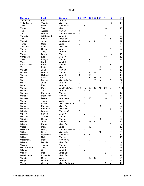| <b>Surname</b>   | <b>First</b>      | <b>Division</b>    | 95             | 97               | 99          | 03             | 07 | 11 | 15 | #              |
|------------------|-------------------|--------------------|----------------|------------------|-------------|----------------|----|----|----|----------------|
| Thompson         | Beven             | Men 35             |                |                  |             | $\overline{8}$ |    |    |    | $\overline{8}$ |
| Tiatia-Seath     | Valerie           | Mixed Snr          |                |                  |             |                |    |    | 13 | 13             |
| <b>Tims</b>      | Pixie             | Women 30           |                | 8                |             |                |    |    |    | 8              |
| Tiwha            | Toia              | Mixed              |                |                  |             |                |    | 16 |    | 16             |
| Toal             | Angela            | Women              | 4              |                  |             |                |    |    |    | 4              |
| Todd             | Leonie            | Women30/Mix30      | $\overline{4}$ | 4                |             |                |    |    |    | 8              |
| Tohiariki        | Wi-Richard        | Men 40             |                |                  |             |                |    | 5  |    | 5              |
| Toki             | <b>Steve</b>      | <b>Mixed Snr</b>   |                |                  |             |                |    | 11 | 5  | 16             |
| Tomati           | Jason             | Men/Men30          | 8              |                  | 8           | 11             |    |    |    | 27             |
| Tonge            | Callin            | Mixed              | 3              |                  |             |                |    |    |    | 3              |
| Tuapawa          | Violet            | Mixed Snr          |                | $\overline{4}$   |             |                |    |    |    | 4              |
| Tuatea           | Henry             | Men                |                |                  |             |                |    |    | 8  | 8              |
| Tupara           | Tony              | Men 40             |                | 1                |             |                |    |    |    | $\mathbf{1}$   |
| Turnbull         | Dayna             | Women              |                |                  |             |                |    |    | 10 | 10             |
| Vahaakolo        | Eddie             | Men 40             |                |                  |             |                |    | 18 |    | 18             |
| Vaile            | Evelyn            | Women              |                |                  | 6           |                |    |    |    | 6              |
| Vear             | <b>Brad</b>       | Men 30             |                |                  | 1           |                |    |    |    | 1              |
| Vette-Welsh      | <b>Botille</b>    | Women              |                |                  |             |                |    |    | 8  | 8              |
| Vis              | Pieter            | Mixed              |                |                  |             |                | 15 |    |    | 15             |
| Waaka            | Jean              | Women              |                |                  |             |                | 11 |    | 1  | 12             |
| Walker           | Leanne            | Women              | 4              |                  | 4           | 6              |    |    |    | 14             |
| Walker           | Richard           | Men 40             | $\mathbf{1}$   |                  | 15          |                |    |    |    | 16             |
| Wall             | Chris             | Men                |                |                  | 5           | 18             | 8  |    |    | 31             |
| Wall             | Steven            | Mixed/Mix Snr      |                |                  |             | 7              | 14 |    | 6  | 27             |
| Waller           | John              | Men 40             | $\overline{2}$ |                  |             |                |    |    |    | $\overline{2}$ |
| Walsh            | Martin            | Men 30             |                | 1                |             |                |    |    |    | $\mathbf{1}$   |
| Walters          | Peter             | Men/Mix30/Mix      | 16             | 15               | 25          | 10             | 15 | 26 | 6  | 113            |
| Wamhia           | Tui               | <b>Men 35</b>      |                | $\overline{4}$   | 4           |                |    |    |    | 8              |
| Watene           | Kahurangi         | Women              |                |                  |             |                |    | 14 |    | 14             |
| Watene           | Maia Jean         | Women              |                |                  |             |                |    |    | 11 | 11             |
| Wawatai          | Deane             | Men 30/40          |                | 5                | 13          |                |    | 10 |    | 28             |
| Weka             | Tamar             | Mixed              | 4              |                  |             |                |    |    |    | $\overline{4}$ |
| Wendt            | Alfred            | Mixed30/Men35      |                | $\boldsymbol{9}$ | 1           |                |    |    |    | 10             |
|                  |                   | <b>Mixed Snr</b>   |                |                  |             |                | 6  |    |    |                |
| Wepa<br>Werahiko | Eugene<br>Emanuel | <b>Mixed Snr</b>   |                |                  |             |                |    |    | 6  | 6<br>6         |
| Whaitiri         |                   |                    | 5              |                  |             |                |    |    |    | 5              |
|                  | Leonie<br>Steven  | Women 30<br>Men 30 |                | 3                |             |                |    |    |    | 3              |
| Whiley           |                   |                    |                |                  |             |                |    |    |    | $\overline{4}$ |
| Whitiora         | Stacey            | Women              |                |                  |             | 4              |    |    |    |                |
| Wickliffe        | Renee             | Women              |                |                  |             |                | 6  |    |    | 6              |
| Wihone           | Janie             | Women              | 7              |                  | 13          | 11             |    |    |    | 31             |
| Wikaire          | Erena             | Mixed Snr          |                |                  |             |                |    |    | 3  | 3              |
| Wilkie           | Maria             | Mixed              |                |                  | $10$        |                |    |    |    | 10             |
| Wilkinson        | Delwyn            | Women30/Mix30      | 6              | $\sqrt{3}$       |             |                |    |    |    | 9              |
| Williams         | Dean              | Mixed/Men          |                |                  |             |                | 19 | 11 |    | 30             |
| Williams         | Moirirangi        | Women 30           |                | $\,$ 5 $\,$      | $\mathbf 5$ |                |    |    |    | 10             |
| Williams         | Niall             | Women              |                |                  |             |                |    | 11 | 5  | 16             |
| Williamson       | Marie             | Women 30           |                |                  | 7           |                |    |    |    | 7              |
| Wilson           | Debbie            | Mixed Snr          |                |                  |             |                |    | 5  |    | 5              |
| Wilson           | Tammi             | Women              | 8              |                  |             |                |    |    |    | 8              |
| Wiperi-Karauria  | Tony              | Men 40             |                |                  |             |                |    |    | 9  | 9              |
| Witehira         | Orlo              | Men 35             |                | 4                |             |                |    |    |    | 4              |
| Withers          | Matt              | Mixed Snr          |                |                  |             |                |    | 8  |    | 8              |
| Woodhouse        | Laveenia          | Mixed Snr          |                |                  |             |                |    |    | 12 | 12             |
| Woods            | Chris             | Mixed              |                |                  | 22          | 12             |    |    |    | 34             |
| Wright           | Darren            | Men 40             |                |                  |             |                |    |    | 11 | 11             |
| Young            | Gareth            | Mixed Snr/Mixed    |                |                  |             |                |    | 7  | 4  | 11             |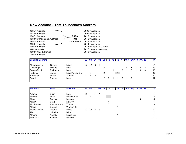# **New Zealand - Test Touchdown Scorers**

| 1985 y Australia            |                  | 2002 v Australia         |
|-----------------------------|------------------|--------------------------|
| 1986 v Australia            |                  | 2009 v Australia         |
| 1987 y Canada               | <b>DATA</b>      | 2010 v Australia         |
| 1988 v Canada and Australia | <b>NOT</b>       | 2012 v Australia         |
| 1991 v Australia            | <b>AVAILABLE</b> | 2013 v Australia         |
| 1993 y Australia            |                  | 2014 y Australia         |
| 1997 y Australia            |                  | 2016 v Australia & Japan |
| 1998 v Australia            |                  | 2017 v Australia & Japan |
| 1998 v Niue & Samoa         |                  | 2018 v Australia         |
| 2001 v Australia            |                  |                          |

| <b>Leading Scorers</b> |          |                 | 98 |   |   |  |  |  | 14 16J 16A 17J 17A 18 |   |                   |
|------------------------|----------|-----------------|----|---|---|--|--|--|-----------------------|---|-------------------|
| Albert-Janhke          | George   | Mixed           | 12 |   |   |  |  |  |                       |   | 21                |
| Cavanagh               | Michael  | Men             |    |   | 5 |  |  |  |                       |   | 19                |
| Soutar-Finch           | Reihanna | Men             |    |   |   |  |  |  |                       | 3 | 16                |
| Puddles                | Jason    | Mixed/Mixed Snr |    |   | າ |  |  |  |                       |   | 12                |
| Hardegger              | Marcia   | Women           |    | 2 |   |  |  |  |                       |   | $12 \overline{ }$ |
| <b>IErueti</b>         | Ruamai   | Men             |    |   |   |  |  |  |                       |   | 12                |
|                        |          |                 |    |   |   |  |  |  |                       |   |                   |

| <b>Surname</b> | <b>First</b> | <b>Division</b> | 97 | 98 | <b>U</b> 1 |   | ีบร |    | 13 | 14. |  |  | $\parallel$ 16J 16A 17J 17A 18 |    |
|----------------|--------------|-----------------|----|----|------------|---|-----|----|----|-----|--|--|--------------------------------|----|
|                |              |                 |    |    |            |   |     |    |    |     |  |  |                                |    |
| Adams          | <b>Brian</b> | Men             | 2  |    |            |   |     |    |    |     |  |  |                                |    |
| Ah Loo         | Mark         | Men/Men 50      |    |    |            |   |     | -1 |    |     |  |  |                                |    |
| Ahsin          | Chance       | Men 40          |    |    |            |   |     |    |    |     |  |  |                                | 5  |
| Aitken         | Craig        | Men 40          |    |    |            |   |     |    |    |     |  |  |                                |    |
| Aki (Peina)    | Kahureremoa  | Women           |    |    |            |   |     | 3  |    |     |  |  |                                |    |
| Albert         | Serena       | Women 30        |    |    |            |   |     |    |    |     |  |  |                                |    |
| Albert-Janhke  | George       | Mixed           | 3  | 12 | 3          | 3 |     |    |    |     |  |  |                                | 21 |
| Ale            | Johathan     | Mixed           |    |    |            |   |     |    |    |     |  |  |                                |    |
| Almond         | Annette      | Mixed Snr       |    |    |            |   |     |    |    |     |  |  |                                |    |
| Anderson       | Richard      | Men 50          |    |    |            |   |     |    |    |     |  |  |                                |    |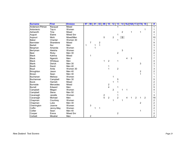| <b>Surname</b>  | <b>First</b>    | <b>Division</b> | 97 | 98             | $\overline{01}$ | 02             | 09            | 10                      | 12             | 13                      | 14             |   |   | <b>16J 16A 17J 17A</b> |                         | <b>18</b>      | #              |
|-----------------|-----------------|-----------------|----|----------------|-----------------|----------------|---------------|-------------------------|----------------|-------------------------|----------------|---|---|------------------------|-------------------------|----------------|----------------|
| Anderson-Pitman | Racqual         | Mixed           |    |                |                 |                |               |                         |                |                         |                |   |   |                        |                         |                | 1              |
| Antonievic      | Tay-a           | Women           |    |                |                 |                |               |                         |                |                         |                |   |   |                        |                         |                |                |
| Ashworth        | Tina            | Mixed           |    |                |                 |                |               |                         |                |                         | $\overline{c}$ |   |   |                        | 1                       |                | 4              |
| August          | Elaine          | Mixed Snr       |    |                |                 |                |               |                         |                |                         |                |   |   |                        |                         |                | 1              |
| Aupouri         | Mohi            | Mixed/Men       |    |                |                 |                | 5             |                         | $\overline{c}$ |                         | 3 <sup>1</sup> |   |   |                        |                         |                | 10             |
| <b>Baker</b>    | Chantal         | Women 30        |    |                |                 |                |               |                         |                | 1                       |                |   |   |                        |                         |                | 1              |
| Bannister       | Sharelene       | Mixed           |    | $\overline{7}$ |                 | $\overline{c}$ |               |                         |                |                         |                |   |   |                        |                         |                | 9              |
| <b>Barlett</b>  | Nui             | Men             | 1  |                | 1               | $\overline{1}$ |               |                         |                |                         |                |   |   |                        |                         |                | 3              |
| Bergman         | Amanda          | Women           |    |                | 1               |                |               |                         |                |                         |                |   |   |                        |                         |                | 1              |
| Berryman        | Aleisha         | Women           |    |                |                 |                |               |                         |                |                         | 3              |   |   |                        |                         |                | 3              |
| <b>Best</b>     | Ricky           | Men 30          |    |                |                 |                |               |                         |                | $\overline{c}$          |                |   |   |                        |                         |                | 2              |
| <b>Black</b>    | Katrina         | Mixed           |    |                |                 |                |               |                         |                |                         |                |   |   |                        |                         |                |                |
| <b>Black</b>    | Ngarohi         | Men             |    |                |                 |                |               |                         |                |                         |                | 4 | 3 |                        |                         |                | 7              |
| <b>Black</b>    | Whitiaua        | Men             |    |                |                 |                | 1             | $\overline{c}$          |                | 1                       |                |   |   |                        |                         |                | 4              |
| <b>Blank</b>    | Derick          | Men 30          |    |                |                 |                |               |                         |                |                         |                |   |   |                        | 3                       |                | 3              |
| <b>Booth</b>    | David           | Men 40          |    |                |                 |                |               | 1                       |                |                         |                |   |   |                        |                         |                | 1              |
| Boyd            | Anita           | Women 30        |    |                |                 |                |               | 1                       |                | $\overline{c}$          |                |   |   |                        |                         |                | 3              |
| Broughton       | Jason           | Men 40          |    |                |                 |                |               |                         |                |                         |                |   |   |                        | $\overline{\mathbf{c}}$ |                | $\overline{2}$ |
| <b>Brown</b>    | Sean            | Men 30          |    |                |                 |                |               |                         |                |                         |                |   |   |                        | $\overline{1}$          |                |                |
| <b>Buchanan</b> | Melissa         | Women           |    |                |                 |                |               |                         | 1              |                         |                |   |   |                        |                         |                |                |
| Buchannan       | Campbell        | Men 30          |    |                |                 |                |               |                         |                | 5                       |                |   |   |                        |                         |                | 5              |
| <b>Buick</b>    | Hamish          | Mixed           |    |                |                 |                |               |                         | 1              |                         |                |   |   |                        |                         |                | $\overline{c}$ |
| <b>Burnside</b> | <b>Mercedes</b> | Mixed           |    |                |                 |                |               | $\overline{\mathbf{c}}$ |                |                         |                |   |   |                        |                         |                | $\overline{c}$ |
| <b>Burrell</b>  | Edward          | Men             |    |                |                 |                |               | $\overline{\mathbf{4}}$ |                |                         |                |   |   |                        |                         |                | 5              |
| Campbell        | Megan           | Women           |    |                |                 |                |               |                         | $\overline{2}$ |                         | 1              | 1 |   |                        |                         |                | 4              |
| Campbell        | <b>Steve</b>    | Men 50          |    |                |                 |                |               |                         |                |                         |                |   |   |                        |                         |                | 1              |
| Cavanagh        | Janelle         | Women           |    |                |                 |                | $\frac{2}{5}$ |                         |                |                         |                |   |   |                        |                         |                | 3              |
| Cavanagh        | Michael         | Men             |    |                |                 |                |               | $\overline{c}$          |                | $\overline{c}$          |                |   |   | $\overline{c}$         | 1                       | $\overline{2}$ | 19             |
| Chapman         | Courtney        | Women           |    |                |                 |                |               |                         | 1              |                         | $\mathbf 1$    |   |   |                        |                         |                | $\overline{c}$ |
| Chapman         | Luke            | Men 30          |    |                |                 |                |               |                         |                |                         |                |   |   |                        | $\overline{2}$          |                | $\overline{2}$ |
| Cherrington     | Joanne          | Women           |    | 3              |                 |                |               |                         |                |                         |                |   |   |                        |                         |                | 3              |
| Coffin          | Jenny-May       | Women           |    |                |                 | 1              |               |                         |                |                         |                |   |   |                        |                         |                | $\overline{2}$ |
| Collier         | Sean            | Men 40          |    |                |                 |                |               |                         |                |                         |                |   |   |                        | 1                       |                | 1              |
| Cooper          | Erena           | Mixed Snr       |    |                |                 |                |               |                         |                | $\overline{\mathbf{c}}$ |                |   |   |                        |                         |                | 2              |
| Corbett         | Micahel         | Men             |    | 2              |                 |                |               |                         |                |                         |                |   |   |                        |                         |                | $\overline{2}$ |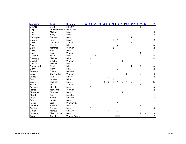| <b>Surname</b>  | <b>First</b>             | <b>Division</b> | 97 | 98             | $\overline{01}$ | 02 | 09             | 10             | 12             | 13             | 14             |                |                | <b>16J 16A 17J 17A</b> |                | 18 | #              |
|-----------------|--------------------------|-----------------|----|----------------|-----------------|----|----------------|----------------|----------------|----------------|----------------|----------------|----------------|------------------------|----------------|----|----------------|
| Coulter         | Craig                    | Men 50          |    |                |                 |    |                |                |                |                |                |                |                |                        |                |    | 1              |
| Daly            | Lupa-Georgette Mixed Snr |                 |    |                |                 |    |                |                |                |                |                |                |                |                        |                |    |                |
| Daly            | Michael                  | Mixed           |    | 6              |                 |    |                |                |                |                |                |                |                |                        |                |    | 6              |
| Dann            | Sonya                    | Mixed           |    | $\overline{c}$ |                 |    |                |                |                |                |                |                |                |                        |                |    | 2              |
| Darlington      | Damian                   | Men             |    |                |                 |    |                |                |                |                |                | 1              |                |                        |                |    | $\overline{c}$ |
| <b>Davies</b>   | Tiwi                     | Mixed           |    |                |                 |    |                |                | 1              |                |                |                |                |                        |                |    | $\overline{c}$ |
| Davis           | Charlotte                | Women           |    |                |                 |    |                |                |                |                |                | $\overline{2}$ | 4              |                        |                |    | $\overline{7}$ |
| Davis           | Heniti                   | Mixed           |    |                |                 |    |                |                |                | 4              |                |                |                |                        |                |    | 4              |
| Davis           | Marama                   | Women           |    |                |                 |    |                |                | $\overline{c}$ |                |                |                |                |                        |                |    | 2              |
| Davis           | Paul                     | Men             |    |                |                 |    | $\overline{2}$ | $\overline{c}$ |                |                |                |                |                |                        |                |    | 4              |
| Day             | Kate                     | Women           |    |                |                 |    |                |                |                |                |                |                |                |                        | 1              |    |                |
| Dickson         | Faith                    | Mixed           | 4  |                | $\overline{c}$  |    |                |                |                |                |                |                |                |                        |                |    | 6              |
| Dolneguy        | Michael                  | Mixed           |    | 4              |                 |    |                |                |                |                |                |                |                |                        |                |    | 4              |
| Dougal          | Elesha                   | Women           |    |                |                 |    |                |                |                |                | 1              |                |                |                        |                |    |                |
| <b>Driscoll</b> | Michelle                 | Mixed           |    |                |                 |    |                |                |                |                |                |                |                |                        |                |    |                |
| Drummond        | Nicole                   | Mixed           |    |                |                 |    |                |                |                |                |                |                | 1              |                        | $\overline{2}$ | 1  | 4              |
| Dunn            | Henry                    | Men             |    |                |                 |    |                |                |                | 2              |                |                |                |                        |                |    | 2              |
| Edwards         | Shane                    | Men 40          |    |                |                 |    |                |                |                | 1              |                |                |                |                        |                |    |                |
| Engler          | Cassandra                | Women           |    |                |                 |    |                |                |                |                |                | 5              |                |                        | $\overline{2}$ | 1  | 8              |
| Enosa           | Riki                     | Men 45          |    |                |                 |    |                | $\overline{c}$ |                |                |                |                |                |                        |                |    | 2              |
| Ensor           | Lauren                   | Mixed           |    |                |                 |    |                |                |                |                |                |                |                |                        |                |    | 1              |
| Erueti          | Ruamai                   | Men             |    |                |                 |    | $\overline{2}$ | 3              |                |                | $\overline{2}$ | 1              | $\overline{2}$ |                        |                |    | 12             |
| Evison          | Maisie                   | Women           |    |                |                 |    |                |                |                |                |                |                |                |                        | 1              |    | 1              |
| Faleauto        | Lincoln                  | Men             |    | 3              |                 |    |                |                |                |                |                |                |                |                        |                |    | 3              |
| Fisher          | Mary-Anne                | Women           | 1  |                | 1               |    |                |                |                |                |                |                |                |                        |                |    | $\overline{c}$ |
| Fitzgerald      | Thomas                   | Men             |    |                |                 |    |                |                |                |                | 1              |                |                |                        |                |    |                |
| Flavell         | Pat                      | Men 50          |    |                |                 |    |                |                |                |                |                |                |                |                        |                |    |                |
| Foley           | Shane                    | Men 40          |    |                |                 |    |                | $\overline{2}$ |                | 1              |                |                |                |                        |                |    | 3              |
| Ford            | Jason                    | Men             |    |                | 1               | 1  |                |                |                |                |                |                |                |                        |                |    | 2              |
| Foster          | Lisa                     | Women 30        |    |                |                 |    |                |                |                |                |                |                |                |                        |                |    |                |
| Gardiner        | Puawai                   | Mixed           |    |                |                 |    |                |                |                |                |                |                |                |                        | 1              |    |                |
| Gentles         | Remus                    | Men             |    | 6              |                 |    |                |                |                |                |                |                |                |                        |                |    | 6              |
| Girvan          | Marcus                   | Men 30          |    |                |                 |    |                | 1              |                | 3              |                |                |                |                        |                |    | 4              |
| Graham          | Mitamumrua               | Men             |    |                |                 |    |                |                |                | 3              |                | $\overline{c}$ |                |                        | 1              | 3  | 9              |
| Grant           | Conal                    | Women/Mixed     |    |                |                 |    |                |                |                | $\overline{1}$ |                |                |                |                        |                |    | $\overline{2}$ |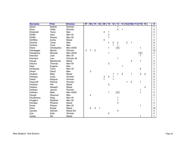| <b>Surname</b> | <b>First</b> | <b>Division</b> | 97 | 98             | 01             | 02 | 09                        | 10               | 12             | 13             | 14             |                |                | 16J 16A 17J 17A |                | 18             | #              |
|----------------|--------------|-----------------|----|----------------|----------------|----|---------------------------|------------------|----------------|----------------|----------------|----------------|----------------|-----------------|----------------|----------------|----------------|
| Grant          | Keshia       | Women           |    |                |                |    |                           |                  |                |                |                |                |                |                 |                |                | $\mathbf{1}$   |
| Gray           | Hollie       | Women           |    |                |                |    |                           |                  |                | $\overline{c}$ | 1              |                |                |                 |                |                | 3              |
| Greensill      | Tame         | Men             |    |                |                |    | $\overline{c}$            |                  |                |                |                |                |                |                 |                |                | 3              |
| Griffin        | Gary         | Men 50          |    |                |                |    |                           | 2                |                |                |                |                |                |                 |                |                | $\overline{c}$ |
| Griffin        | Wayne        | Men 50          |    |                |                |    |                           |                  |                |                |                |                |                |                 |                |                | 1              |
| Griffiths      | Aroha        | Mixed           |    |                |                |    | 3                         |                  |                |                |                |                |                |                 |                |                | 3              |
| Guthrie        | Tama         | Men             |    |                |                |    |                           | 1                | $\overline{c}$ | $\overline{2}$ |                | $\overline{2}$ | 1              |                 |                |                | 8              |
| Guthrie        | Tivoli       | Men             |    |                |                |    |                           |                  | 1              | $\mathbf 1$    |                |                |                |                 |                |                | 2              |
| Hand           | Christopher  | Men 45/50       |    |                |                |    |                           | 1                |                | 1              |                |                |                |                 | 1              |                | 3              |
| Hardegger      | Marcia       | Women           | 3  | $\overline{7}$ | $\overline{c}$ |    |                           |                  |                |                |                |                |                |                 |                |                | 12             |
| Hardgrave      | Micheal      | Men 45/50       |    |                |                |    |                           | 1                |                |                |                |                |                |                 | 1              |                | $\overline{c}$ |
| Harrison       | Josh         | Men 30          |    |                |                |    |                           |                  |                |                |                |                |                |                 | 1              |                | 1              |
| Harrison       | Lisa         | Women 30        |    |                |                |    |                           |                  |                | 1              |                |                |                |                 |                |                | 1              |
| Haugh          | MacKenzie    | Mixed           |    |                |                |    |                           |                  |                |                |                |                | $\overline{c}$ |                 | 1              |                | 3              |
| Haunui         | Thomas       | Men 50          |    |                |                |    |                           | $\overline{2}$   |                |                |                |                |                |                 |                |                | 2              |
| Hepi           | Eugene       | Men             |    |                |                |    |                           |                  |                |                |                |                |                |                 |                |                | 1              |
| Hiratsuka      | Tomu         | Men 30          |    |                |                |    |                           |                  |                |                |                |                |                |                 | $\overline{2}$ |                | $\overline{c}$ |
| Hoani          | David        | Men             |    | 3              |                |    |                           |                  |                |                |                |                |                |                 |                |                | 3              |
| Hodson         | <b>Mark</b>  | Mixed           |    |                |                |    |                           |                  | 1              | $\mathbf 1$    | $\overline{2}$ |                | $\mathbf 1$    |                 | $\overline{2}$ | $\overline{2}$ | 9              |
| Hohepa         | Carla        | Women           |    |                |                |    | $\ensuremath{\mathsf{3}}$ | $\boldsymbol{2}$ |                |                |                |                |                |                 |                |                | 6              |
| Hokai          | Robyna       | Women           |    |                |                |    | 1                         |                  |                |                |                |                |                |                 |                |                | $\overline{c}$ |
| Hopcroft       | Patricia     | Women           |    |                |                |    |                           |                  |                |                |                | $\mathbf{1}$   | $\overline{2}$ |                 | 1              |                | 4              |
| Hoskins        | Piki         | Mixed           |    |                |                |    |                           | $\overline{c}$   |                |                |                |                |                |                 |                |                | 2              |
| Hotene         | Atawahi      | Mixed           |    |                |                |    |                           |                  |                |                |                |                |                |                 |                | 3              | 3              |
| Hotham         | Jazmin       | Women           |    |                |                |    |                           |                  |                |                |                |                |                |                 | 1              |                | 1              |
| Hotham         | Mark         | Men 45/50       |    |                |                |    |                           | 1                |                | 1              |                |                |                |                 | 1              |                | 3              |
| Hough          | Shannon      | Men             |    | $\overline{2}$ |                |    |                           |                  |                |                |                |                |                |                 |                |                | $\overline{c}$ |
| Houkamau       | Greg         | Men 40          |    |                |                |    |                           |                  |                |                |                |                |                |                 |                |                | 1              |
| Huggins        | Stephen      | Men 50          |    |                |                |    |                           |                  |                |                |                |                |                |                 |                |                |                |
| Hunapo         | Phoenix      | Mixed           |    |                |                |    |                           |                  |                | 3              |                |                |                |                 |                |                | 3              |
| Innes          | Wayne        | Men 40          |    |                |                |    |                           |                  |                |                |                |                |                |                 | 1              |                | 1              |
| Irihei         | Kopae        | Mixed           |    | 5              | 4              | 1  |                           |                  |                |                |                |                |                |                 |                |                | 10             |
| Jacobs         | Damian       | Mixed Snr       |    |                |                |    |                           |                  |                | 4              |                |                |                |                 |                |                | 4              |
| Joe            | Kylie        | Women           |    |                |                |    |                           | 4                |                |                |                |                |                |                 |                |                | 4              |
| Jones          | Ifor         | Mixed           |    |                |                |    |                           |                  |                |                |                |                |                |                 |                |                |                |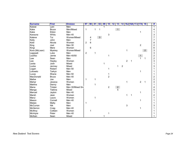| <b>Surname</b> | <b>First</b>   | <b>Division</b>  | 97             | 98              | $\overline{01}$ | 02           | 09 | 10             | 12 | 13             | 14             |                | <b>16J 16A 17J 17A</b> |                | 18             | #              |
|----------------|----------------|------------------|----------------|-----------------|-----------------|--------------|----|----------------|----|----------------|----------------|----------------|------------------------|----------------|----------------|----------------|
| Kaiwai         | $L$ ani        | Men              |                |                 |                 |              |    |                |    |                |                |                |                        |                |                |                |
| Kake           | <b>Bruce</b>   | Men/Mixed        | 1              |                 | 1               | $\mathbf{1}$ |    |                |    | $\mathbf{1}$   |                |                |                        |                |                | 4              |
| Kake           | Eldon          | Men              |                |                 |                 |              |    |                |    |                |                |                |                        | 1              |                |                |
| Karauna        | Whitu          | Men 45           |                |                 |                 |              |    | 3              |    |                |                |                |                        |                |                | 3              |
| Katene         | Tui            | Women/Mixed      |                | 4               |                 | $\mathbf{3}$ |    |                |    |                |                |                |                        |                |                | $\overline{7}$ |
| Kelly          | John           | Men              |                | $\overline{7}$  |                 |              |    |                |    |                |                |                |                        |                |                | 7              |
| Kidd           | Nicola         | Women            | $\overline{c}$ | $6\phantom{1}6$ |                 |              |    |                |    |                |                |                |                        |                |                | 8              |
| King           | Joel           | Men 30           |                |                 |                 |              |    |                |    |                |                |                |                        | $\overline{c}$ |                | $\overline{c}$ |
| Kingi          | Mere           | Women            |                | 6               |                 |              |    |                |    |                |                |                |                        |                |                | 6              |
| Kora (McLean)  | <b>Mystrey</b> | Women/Mixed      |                |                 |                 |              |    |                |    |                |                | 1              |                        |                | 2 <sup>7</sup> | 3              |
| Lagopati       | Luke           | Men              | $\sqrt{2}$     |                 | 1               |              |    |                |    |                |                |                |                        |                |                | 3              |
| Laufiso        | Jamie          | Men 40/50        |                |                 |                 |              |    | 1              |    |                |                |                |                        |                |                | $\overline{c}$ |
| Law            | Sean           | Men              |                |                 |                 |              |    |                |    |                |                |                |                        |                |                | $\overline{c}$ |
| Lee            | Hayley         | Women            |                |                 |                 |              |    |                |    |                |                | $\overline{2}$ | 1                      |                |                | 3              |
| Leota          | Josh           | Mixed            |                |                 |                 |              | 1  |                |    |                |                |                |                        |                |                |                |
| Locke          | Jermey         | Mixed            |                |                 |                 |              |    |                |    | 1              | $\overline{c}$ |                |                        |                |                | 3              |
| Logan          | Robert         | Men 50           |                |                 |                 |              |    | 1              |    |                |                |                |                        |                |                |                |
| Loloselo       | Tarkyn         | Men              |                |                 |                 |              |    |                |    |                |                |                |                        | 1              |                |                |
| Lucas          | Shane          | Men 50           |                |                 |                 |              |    | 1              |    |                |                |                |                        |                |                |                |
| MacDonald      | <b>Bruce</b>   | Men 40           |                |                 |                 |              |    | $\overline{2}$ |    |                |                |                |                        |                |                | $\overline{c}$ |
| Mafoe          | Joe            | Men              | 1              |                 | 1               |              |    |                |    |                |                |                |                        |                |                | $\overline{c}$ |
| Mahar          | Jessica        | Women            |                |                 |                 |              |    |                |    |                |                | $\mathbf{1}$   |                        | $\overline{2}$ | 1              | 4              |
| Makiha         | Denny          | Men              |                |                 | 1               |              |    |                |    |                |                |                |                        |                |                |                |
| Mana           | Tristan        | Men 30/Mixed Snr |                |                 |                 |              |    | $\overline{2}$ |    | $\overline{2}$ |                |                |                        |                |                | 4              |
| Manga          | Tiakina        | Mixed            |                |                 |                 |              |    |                |    | 5              |                |                |                        |                |                | 5              |
| Manuel         | Jayton         | Men 40           |                |                 |                 |              |    |                |    |                |                |                |                        | 1              |                |                |
| Marsh          | Jean           | Women            |                |                 |                 |              |    |                |    |                |                | 1              | 1                      |                |                | 2              |
| Marui          | Laura          | Women            |                |                 | 1               |              |    |                |    |                |                |                |                        |                |                |                |
| Mason          | Cornell        | Men 40           |                |                 |                 |              |    |                |    |                |                |                |                        |                |                |                |
| Mataio         | Matty          | Men              | 1              |                 |                 |              |    |                |    |                |                |                |                        |                |                |                |
| McCurran       | <b>Nik</b>     | Men              |                |                 |                 |              |    |                |    |                |                | 3              |                        |                |                | 3              |
| McHerron       | Craig          | Men 40           |                |                 |                 |              |    |                |    |                |                |                |                        | 1              |                |                |
| McIllroy       | Colleen        | Women            |                |                 |                 |              |    |                |    |                |                |                |                        |                |                |                |
| McIntyre       | Peter          | Men 40           |                |                 |                 |              |    | 1              |    |                |                |                |                        |                |                |                |
| McKain         | Sean           | Mixed            |                |                 |                 |              |    |                |    |                |                |                |                        |                |                |                |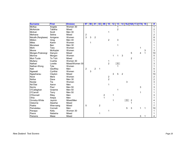| <b>Surname</b>        | <b>First</b> | <b>Division</b> | 97            | 98 | $\overline{01}$ | 02             | 09 | 10             | 12 | 13             | 14             |              |                         | <b>16J 16A 17J 17A 18</b> |   |              | #              |
|-----------------------|--------------|-----------------|---------------|----|-----------------|----------------|----|----------------|----|----------------|----------------|--------------|-------------------------|---------------------------|---|--------------|----------------|
| <b>McKay</b>          | Angela       | Women 30        |               |    |                 |                |    |                |    |                |                |              |                         |                           |   |              | $\mathbf{1}$   |
| McKenzie              | Tabitha      | Mixed           |               |    |                 |                |    |                |    | $\overline{c}$ |                |              |                         |                           |   |              | 2              |
| Mcliver               | Scott        | Men 30          |               |    |                 |                |    | 1              |    |                |                |              |                         |                           |   |              | 1              |
| Meihana               | Selina       | Mixed           | $\frac{2}{3}$ |    |                 |                |    |                |    |                |                |              |                         |                           |   |              | 2              |
| Metcalfe (Rangitaawa) | Amigene      | Women           |               | 3  | $\overline{2}$  |                |    |                |    |                |                |              |                         |                           |   |              | 8              |
| Mildon                | Greg         | Men 40          |               |    |                 |                |    | $\overline{2}$ |    | 3              |                |              |                         |                           |   |              | 5              |
| <b>Miles</b>          | Karen        | Women           |               |    |                 |                |    |                |    |                |                |              |                         |                           |   |              |                |
| Moceiwai              | Ben          | Men 30          |               |    |                 |                |    |                |    |                |                |              |                         |                           |   |              |                |
| Mohi                  | Tara         | Women           |               |    |                 |                |    |                |    |                |                |              |                         |                           | 1 |              |                |
| Moore                 | McKayler     | Women           |               |    |                 |                |    |                |    |                |                |              |                         |                           |   | 3            | 3              |
| Morgan-Puterangi      | Danyon       | Mixed           |               |    |                 |                |    |                |    |                |                |              | 5                       |                           | 4 | $\mathbf{1}$ | 10             |
| Morrow                | Morgan       | Women           |               |    |                 |                |    |                | 1  | 1              | 3              |              |                         |                           |   |              | 5              |
| Muir-Tuuta            | Te Tuhi      | Mixed           |               |    |                 |                |    |                |    |                |                |              | $\overline{c}$          |                           |   |              | $\overline{c}$ |
| Mullany               | Cushla       | Women 30        |               |    |                 |                |    | 1              |    |                |                |              |                         |                           |   |              |                |
| Nathan                | Lorelie      | Mixed/Women 30  |               |    |                 |                |    | $\overline{2}$ |    |                |                |              |                         |                           |   |              | 3              |
| Nathan-Wong           | Tyla         | Women           |               |    |                 |                |    |                |    |                |                |              |                         |                           |   |              |                |
| <b>Nati</b>           | Geoffrey     | Men             | $\sqrt{2}$    |    | $\overline{2}$  | 1              |    |                |    |                |                |              |                         |                           |   |              | 5              |
| Ngawati               | Cynthia      | Women           |               | 3  |                 |                |    |                |    |                |                |              |                         |                           |   |              | 3              |
| Ngawharau             | Clayton      | Mixed           |               |    |                 |                |    |                | 3  | 5              | $\overline{2}$ |              |                         |                           |   |              | 10             |
| <b>Nock</b>           | Mere         | Women           |               |    |                 |                |    | $\frac{2}{2}$  |    |                |                |              |                         |                           |   |              | 2              |
| Nofoa                 | Dave         | Men 30          |               |    |                 |                |    |                |    |                |                |              |                         |                           |   |              | $\overline{c}$ |
| Nootai                | Tia          | Women           |               |    |                 |                |    |                |    |                |                | 3            |                         |                           |   |              | 3              |
| No'Otai               | Aaron        | Men             |               |    |                 |                |    | 1              |    |                |                |              |                         |                           |   |              |                |
| <b>Norris</b>         | Paul         | Men 50          |               |    |                 |                |    |                |    |                |                |              |                         |                           | 3 |              | 3              |
| O'Callaghan           | Graeme       | Men 50          |               |    |                 |                |    |                |    |                |                |              |                         |                           |   |              |                |
| O'Carroll             | Terry        | Men 50          |               |    |                 |                |    |                |    |                |                |              |                         |                           | 1 |              |                |
| O'Donnell             | Riley        | Men             |               |    |                 |                | 2  |                | 1  |                |                |              |                         |                           |   |              | 3              |
| Ohia                  | Arepa        | Men             |               |    |                 |                | 1  |                |    |                |                |              |                         |                           |   |              |                |
| Ormsby-White          | Jaymin       | Mixed/Men       |               |    |                 |                |    |                |    |                |                | $\mathbf{1}$ | $\overline{\mathbf{c}}$ |                           |   |              |                |
| Osborne               | Atawhai      | Mixed           |               |    |                 |                |    |                |    |                |                |              |                         |                           |   |              |                |
| Paaka                 | Wee-sang     | Mixed           | 5             |    |                 | $\overline{2}$ |    |                |    |                |                |              |                         |                           |   |              | 7              |
| Pamatatau             | Connah       | Men             |               |    |                 |                |    |                |    |                |                | 5            | 3                       |                           | 1 | $\mathbf{1}$ | 10             |
| Panapa                | Kelly        | Women 30        |               |    |                 |                |    | 1              |    |                |                |              |                         |                           |   |              |                |
| Paora                 | Natasha      | Mixed           |               |    |                 | 1              |    |                |    |                |                |              |                         |                           |   |              |                |
| Parsons               | Mase         | Mixed           |               |    |                 |                |    |                |    |                |                |              |                         |                           | 3 |              |                |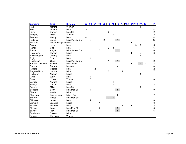| <b>Surname</b>    | <b>First</b>         | <b>Division</b>  | 97           | 98 | $\overline{01}$ | 02             | 09             | 10             | 12             | 13             |   |   | 14 16J 16A 17J 17A 18 |                |                |                | #              |
|-------------------|----------------------|------------------|--------------|----|-----------------|----------------|----------------|----------------|----------------|----------------|---|---|-----------------------|----------------|----------------|----------------|----------------|
| Paul              | Mahina               | Women            |              |    |                 |                |                |                |                |                |   |   |                       |                |                |                | 1              |
| Pile              | Moana                | Mixed            | $\mathbf{3}$ |    | 1               |                |                |                |                |                |   |   |                       |                |                |                | 4              |
| Pitiroi           | Damen                | Men 30           |              |    |                 |                |                | $\overline{c}$ |                |                |   |   |                       |                |                |                | 2              |
| Pompey            | Lillian              | Women            |              |    |                 |                | 1              |                | 1              |                |   |   |                       |                |                |                | $\overline{c}$ |
| Pourewa           | Kenny                | Men              | 4            |    |                 |                |                |                |                |                |   |   |                       |                |                |                | 4              |
| Puddles           | Jason                | Mixed/Mixed Snr  |              | 9  |                 |                | $\overline{c}$ |                |                |                |   |   |                       |                |                |                | 12             |
| Puketapu          | Deena-Ranginui Mixed |                  |              |    |                 |                |                |                |                |                |   |   | 1                     |                |                |                | 1              |
| Quinn             | Josh                 | Men              |              |    |                 |                |                |                |                |                |   |   |                       | 3              | $\overline{c}$ |                | 5              |
| Rangi             | Cain                 | Men              |              |    |                 |                | 1              | 2              | 3              |                |   |   |                       |                |                |                | 6              |
| Ratahi            | Roger                | Mixed/Mixed Snr  |              |    | 1               | 3              |                |                |                | 2 <sup>7</sup> |   |   |                       |                |                |                | 6              |
| Rauwhero          | Rahera               | Mixed            |              |    |                 |                |                |                |                |                |   |   | 1                     |                | $\overline{c}$ |                | 3              |
| Rhind-Rogers      | Jeremy               | Men              |              |    |                 |                |                |                |                |                |   |   |                       | $\overline{2}$ | $\overline{1}$ |                | 4              |
| <b>Rigby</b>      | Simon                | Men              |              |    |                 |                |                |                |                |                |   |   |                       |                |                |                | 1              |
| Robertson         | Grant                | Mixed/Mixed Snr  |              |    |                 |                |                | 1              |                | 1              |   |   |                       |                |                |                | $\overline{2}$ |
| Robinson-Bartlett | Ashton               | Mixed/Men        |              |    |                 |                |                |                |                |                |   |   | 1                     | 3              | 2 <sup>1</sup> | $\overline{c}$ | 8              |
| Robson            | Darran               | Men 40           |              |    |                 |                |                |                |                | 4              |   |   |                       |                |                |                | 4              |
| Rogers            | George               | Men              |              |    | $\overline{c}$  |                |                |                |                |                |   |   |                       |                |                |                | $\overline{c}$ |
| Rogers-Rhind      | Jordan               | Mixed            |              |    |                 |                |                | 5              |                | 1              | 1 |   |                       |                |                |                | $\overline{7}$ |
| Rollinson         | Nathan               | Mixed            |              |    |                 |                |                |                |                |                |   |   |                       |                | 1              |                |                |
| Ryfle             | Wally                | Men              |              | 1  |                 |                |                |                |                |                |   |   |                       |                |                |                |                |
| Saba              | Yvette               | Women            |              | 6  |                 |                |                |                |                |                |   |   |                       |                |                |                | 6              |
| Savage            | Awhina               | Mixed            |              |    |                 |                |                |                | 1              |                |   |   |                       |                |                |                |                |
| Savage            | Carlos               | Men              |              |    |                 |                |                |                | $\overline{1}$ | 1              |   | 1 |                       |                |                |                | 3              |
| Savage            | Mike                 | Men 50           |              |    |                 |                |                |                |                |                |   |   |                       |                | 1              |                |                |
| Seebeck           | Benn                 | Men/Men 30       |              |    |                 |                |                |                |                | 8              |   |   |                       |                |                |                | 9              |
| Sharp             | Wade                 | Mixed            |              |    |                 |                | 1              |                |                |                |   |   |                       |                |                |                | 1              |
| Shedlock          | Kahumoana            | <b>Mixed Snr</b> |              |    |                 |                |                |                |                | 2              |   |   |                       |                |                |                | 2              |
| Silberry          | Nazea                | Men/Men 30*      |              |    |                 |                |                | $\overline{2}$ | $\mathbf{1}$   |                |   |   |                       |                |                |                | 4              |
| Silimaka          | Jason                | Men              |              | 7  | 1               |                |                |                |                |                |   |   |                       |                |                |                | 8              |
| Silimaka          | Josalina             | Mixed            | 1            |    | 1               | $\mathbf 1$    |                |                |                |                |   |   |                       |                |                |                | 3              |
| Sinclair          | Matthew              | Men              |              |    |                 |                |                |                |                |                | 1 | 1 | 1                     |                |                |                | 3              |
| <b>Skinner</b>    | Leon                 | Men/Men 30       |              |    |                 | $\overline{2}$ |                |                |                |                |   |   |                       |                |                |                | 5              |
| <b>Skinner</b>    | Troy                 | Men/Men 30       |              |    |                 |                |                |                |                | $\frac{3}{5}$  |   |   |                       |                |                |                | 6              |
| Smallman          | Stacey               | Mixed            |              |    |                 |                | 2              |                |                |                |   |   |                       |                |                |                | 2              |
| Smeele            | Rebecca              | Women            |              |    |                 |                | $\mathbf{1}$   |                |                |                |   |   |                       |                |                |                |                |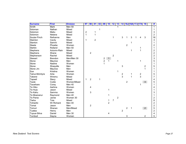| <b>Surname</b>  | <b>First</b>   | <b>Division</b> | 97         | 98             | $\overline{01}$ | 02          | 09            | 10             | 12             | 13             | 14             |                |   | <b>16J 16A 17J 17A</b> |               | <b>18</b>               | #              |
|-----------------|----------------|-----------------|------------|----------------|-----------------|-------------|---------------|----------------|----------------|----------------|----------------|----------------|---|------------------------|---------------|-------------------------|----------------|
| Smith           | <b>Mark</b>    | Men 50          |            |                |                 |             |               |                |                |                |                |                |   |                        |               |                         | 1              |
| Soloman         | Nathan         | Mixed           |            |                |                 | 1           |               |                |                |                |                |                |   |                        |               |                         |                |
| Solomon         | Matiu          | Mixed           | $\sqrt{2}$ |                | 1               |             |               |                |                |                |                |                |   |                        |               |                         | 3              |
| Solomon         | Netana         | Mixed           | 1          |                | 1               |             |               |                |                |                |                |                |   |                        |               |                         | $\overline{c}$ |
| Soutar-Finch    | Reihanna       | Men             |            |                |                 |             |               |                | $\mathbf 1$    |                | 3              |                | 3 |                        |               | 3                       | 16             |
| Stainton        | Cecily         | Mixed           | 1          |                | $\overline{c}$  |             |               |                |                |                |                |                |   |                        |               |                         | 3              |
| Stanton         | Sammi          | Mixed           |            |                |                 |             |               |                |                |                |                |                |   |                        |               |                         | 1              |
| Steele          | Phoebe         | Women           |            |                |                 |             |               |                |                |                |                | $\overline{c}$ |   |                        |               |                         | 2              |
| Stehlin         | Rolland        | Men 50          |            |                |                 |             |               |                |                |                |                |                |   |                        |               |                         | 1              |
| Stephens        | Autumn-Rain    | Mixed           |            |                |                 |             |               |                |                |                |                |                |   |                        | 1             |                         | 2              |
| Stephens        | Shane          | Mixed           |            | $\overline{c}$ |                 |             |               |                |                |                |                |                |   |                        |               |                         | $\overline{c}$ |
| Stephenson      | Rachel         | Mixed           |            |                |                 |             |               |                | $\overline{c}$ |                |                |                |   |                        |               |                         | $\overline{2}$ |
| <b>Stewart</b>  | <b>Brendon</b> | Men/Men 30      |            |                |                 |             |               | $\mathbf{1}$   |                |                |                |                |   |                        |               |                         | 3              |
| Stone           | Maurice        | Men             |            |                |                 |             | $\frac{2}{2}$ | 1              |                |                |                |                |   |                        | 1             |                         | 5              |
| Stone           | Nadine         | Women           |            |                |                 |             | $\mathbf{1}$  |                |                |                |                |                |   |                        |               |                         |                |
| Stone           | Shaquille      | Men             |            |                |                 |             |               |                |                |                | 3              |                |   |                        |               | $\overline{\mathbf{c}}$ | 5              |
| Stone Jnr.      | Maurice        | Men             |            |                |                 |             |               |                |                |                |                |                |   |                        |               | $\overline{1}$          |                |
| Sue             | Kristina       | Women           |            |                |                 |             |               |                |                | 1              |                |                |   |                        |               |                         |                |
| Tainui-McIntyre | Ariia          | Women           |            |                |                 |             |               |                |                |                | $\frac{2}{3}$  |                |   |                        | $\frac{2}{3}$ |                         | 5              |
| Takerei         | Wiremu         | Mixed           |            |                |                 |             |               |                |                |                |                |                | 1 |                        |               |                         | 7              |
| Tapseil         | Stacy          | Mixed           | 1          | $\overline{c}$ |                 | $\mathbf 1$ |               |                |                |                |                |                |   |                        |               |                         | 4              |
| Taute           | Codie          | Women/Mixed     |            |                |                 |             |               |                |                |                |                | $\overline{2}$ |   |                        |               | 3 <sup>1</sup>          | 5              |
| Tauwhare        | Corey          | Men 40          |            |                |                 |             |               |                |                |                |                |                |   |                        | 1             |                         |                |
| Te Hiko         | Awhina         | Women           |            | 4              |                 |             |               |                |                |                |                |                |   |                        |               |                         |                |
| Te Huia         | Jason          | Mixed           |            |                |                 |             |               | 1              |                |                |                |                |   |                        |               |                         |                |
| Te Kahu         | Samma          | Women           |            | 3              |                 |             |               |                |                |                |                |                |   |                        |               |                         | 3              |
| Te Moananui     | Raymond        | Men 40          |            |                |                 |             |               | 1              |                |                |                |                |   |                        |               |                         |                |
| Te Pania        | Jamie          | Women 30        |            |                |                 |             |               |                |                | $\overline{c}$ |                |                |   |                        |               |                         | 2              |
| Tiwha           | Toia           | Mixed           |            |                |                 |             |               | 1              | $\overline{7}$ |                |                |                |   |                        |               |                         | 8              |
| Tohiariki       | Wi Richard     | Men 40          |            |                |                 |             |               | $\overline{2}$ |                |                |                |                |   |                        |               |                         | $\overline{c}$ |
| Tomai           | Jason          | Men             |            | $\overline{c}$ |                 |             |               |                |                |                |                |                |   |                        |               |                         | $\overline{2}$ |
| Tomuri          | Shanan         | Men/Mixed       |            |                |                 |             |               |                |                |                |                | $\overline{2}$ |   |                        |               | 2 <sup>7</sup>          | 5              |
| Tuatea          | Henry          | Men             |            |                |                 |             |               |                |                |                | $\overline{2}$ |                |   |                        |               |                         | $\overline{2}$ |
| Tupua-Siliva    | Daniel         | Men 30          |            |                |                 |             |               | 4              |                |                |                |                |   |                        |               |                         | 4              |
| Turnbull        | Dayna          | Women           |            |                |                 |             |               |                |                |                |                | 3              |   |                        |               | 2                       | 5              |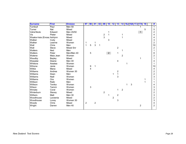| <b>Surname</b>             | <b>First</b>  | <b>Division</b>  | 97             | 98          | 01             | 02 | 09                      | 10             | 12             | 13                      |                |   | 14 16J 16A 17J 17A | <b>18</b> | #                       |
|----------------------------|---------------|------------------|----------------|-------------|----------------|----|-------------------------|----------------|----------------|-------------------------|----------------|---|--------------------|-----------|-------------------------|
| Turnbull                   | Paul          | Men 50           |                |             |                |    |                         |                |                |                         |                |   |                    |           | 1                       |
| Turner                     | Nat           | Mixed            |                |             |                |    |                         |                |                |                         |                |   |                    | 5         | 5                       |
| Vaha'Akolo                 | Edward        | Men 45/50        |                |             |                |    |                         | 1              |                |                         |                |   | $\mathbf{1}$       |           | $\overline{c}$          |
| Vis                        | Pieter        | Mixed            |                |             |                |    | $\overline{\mathbf{c}}$ |                |                |                         | 1              |   |                    |           | 4                       |
| Waaka-Iraia (Enosa Ashlynn |               | Mixed            |                |             |                |    | 3                       |                |                |                         | 1              |   |                    |           | 4                       |
| Walker                     | Cody          | Mixed            |                |             |                |    |                         | 3              |                |                         |                |   |                    |           | 3                       |
| Walker                     | Leanne        | Women            | 1              |             |                |    |                         |                |                |                         |                |   |                    |           | $\overline{2}$          |
| Wall                       | Chris         | Men              | 1              | 5           | 3              | 1  |                         |                |                |                         |                |   |                    |           | 10                      |
| Wall                       | <b>Steve</b>  | <b>Mixed Snr</b> |                |             |                |    |                         |                |                | $\overline{2}$          |                |   |                    |           | $\overline{2}$          |
| Walters                    | Ned           | Men              |                |             |                |    |                         |                |                |                         |                |   |                    |           | 1                       |
| Walters                    | Peter         | Men/Men 40       |                | $\mathbf 5$ |                |    |                         | $\overline{2}$ |                | 1                       |                |   |                    |           | 8                       |
| Watene                     | Maia Jean     | Women            |                |             |                |    |                         |                |                |                         | $\overline{2}$ |   |                    |           | $\overline{2}$          |
| Waudby                     | <b>Bayley</b> | Mixed            |                |             |                |    |                         |                |                |                         |                |   | 1                  |           |                         |
| Wawatai                    | Deane         | Men 40           |                |             |                |    |                         |                |                | 4                       |                |   |                    |           | 4                       |
| Whitiora                   | Awatea        | Women            |                |             |                |    |                         |                |                |                         |                |   |                    |           |                         |
| Wihone                     | Janie         | Women            |                | 9           | 1              |    |                         |                |                |                         |                |   |                    |           | 10                      |
| Wilkie                     | Mana          | Mixed            |                | 4           |                |    |                         |                |                |                         |                |   |                    |           | 4                       |
| Williams                   | Andrea        | Women 30         |                |             |                |    |                         |                |                | $\overline{\mathbf{c}}$ |                |   |                    |           | $\overline{\mathbf{c}}$ |
| Williams                   | Dean          | Men              |                |             |                |    |                         |                | 1              | $\mathbf{1}$            |                |   |                    |           | $\overline{c}$          |
| Williams                   | Niall         | Women            |                |             |                |    |                         |                |                | 3                       |                |   |                    |           | 3                       |
| Williams                   | Ora           | Women            |                |             |                |    |                         |                |                |                         |                |   |                    |           |                         |
| Willison                   | Raiki         | Men              |                |             |                |    |                         |                |                |                         |                |   |                    |           |                         |
| Willison                   | Tenika        | Women            |                |             |                |    |                         |                |                |                         |                | 3 |                    |           | 4                       |
| Wilson                     | Tammi         | Women            |                | 3           |                |    |                         |                |                |                         |                |   |                    |           | 3                       |
| Winiata                    | Coral         | Women            |                |             |                |    |                         |                |                | 1                       | $\overline{2}$ |   |                    |           | 3                       |
| Winterburn                 | Stacey        | Mixed            |                |             |                |    | $\overline{c}$          |                |                |                         |                |   |                    |           | $\overline{c}$          |
| Withers                    | Matt          | Men 30           |                |             |                |    |                         | 1              |                | $\overline{c}$          |                |   |                    |           | 3                       |
| Woodhouse                  | Laveenia      | Mixed            |                |             |                |    |                         |                | $\overline{2}$ |                         |                |   |                    |           | $\overline{c}$          |
| Woodhouse                  | Lovey         | Women 30         |                |             |                |    |                         |                |                | 3                       |                |   |                    |           | 3                       |
| Woods                      | Chris         | Mixed            | $\overline{c}$ |             | $\overline{c}$ |    |                         |                |                |                         |                |   |                    |           | 4                       |
| Wright                     | Darren        | Men 40           |                |             |                |    |                         |                |                |                         |                |   | $\overline{2}$     |           | 2                       |
|                            |               |                  |                |             |                |    |                         |                |                |                         |                |   |                    |           |                         |